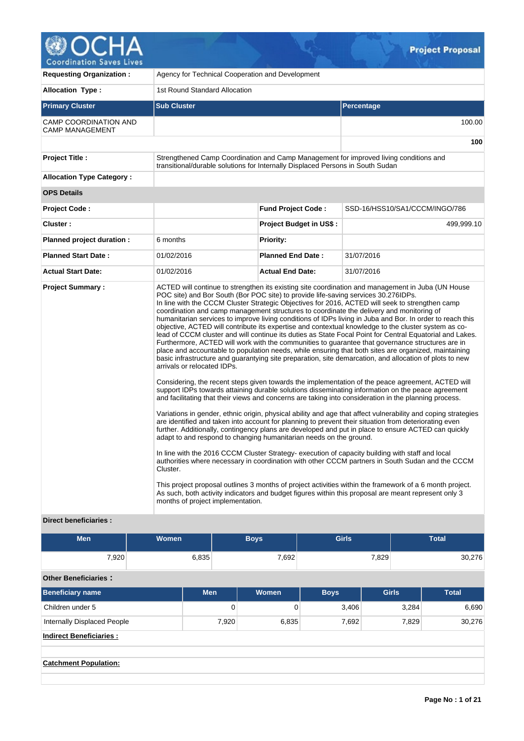

| <b>Requesting Organization:</b>                        | Agency for Technical Cooperation and Development                                                                                                                                                                                                                                                                                     |                                |                                                                                                                                                                                                                                                                                                                                                                                                                                                                                                                                                                                                                                                                                                                                                                                                                                                                                                                                                                                                                                                                                                                                                                                                                                                                                                                                                                                                                                                                                                                                                                                                                                                                                                                                                                                                                                                                                                                                              |  |  |  |  |  |  |
|--------------------------------------------------------|--------------------------------------------------------------------------------------------------------------------------------------------------------------------------------------------------------------------------------------------------------------------------------------------------------------------------------------|--------------------------------|----------------------------------------------------------------------------------------------------------------------------------------------------------------------------------------------------------------------------------------------------------------------------------------------------------------------------------------------------------------------------------------------------------------------------------------------------------------------------------------------------------------------------------------------------------------------------------------------------------------------------------------------------------------------------------------------------------------------------------------------------------------------------------------------------------------------------------------------------------------------------------------------------------------------------------------------------------------------------------------------------------------------------------------------------------------------------------------------------------------------------------------------------------------------------------------------------------------------------------------------------------------------------------------------------------------------------------------------------------------------------------------------------------------------------------------------------------------------------------------------------------------------------------------------------------------------------------------------------------------------------------------------------------------------------------------------------------------------------------------------------------------------------------------------------------------------------------------------------------------------------------------------------------------------------------------------|--|--|--|--|--|--|
| <b>Allocation Type:</b>                                | 1st Round Standard Allocation                                                                                                                                                                                                                                                                                                        |                                |                                                                                                                                                                                                                                                                                                                                                                                                                                                                                                                                                                                                                                                                                                                                                                                                                                                                                                                                                                                                                                                                                                                                                                                                                                                                                                                                                                                                                                                                                                                                                                                                                                                                                                                                                                                                                                                                                                                                              |  |  |  |  |  |  |
| <b>Primary Cluster</b>                                 | <b>Sub Cluster</b>                                                                                                                                                                                                                                                                                                                   |                                | Percentage                                                                                                                                                                                                                                                                                                                                                                                                                                                                                                                                                                                                                                                                                                                                                                                                                                                                                                                                                                                                                                                                                                                                                                                                                                                                                                                                                                                                                                                                                                                                                                                                                                                                                                                                                                                                                                                                                                                                   |  |  |  |  |  |  |
| <b>CAMP COORDINATION AND</b><br><b>CAMP MANAGEMENT</b> |                                                                                                                                                                                                                                                                                                                                      |                                | 100.00                                                                                                                                                                                                                                                                                                                                                                                                                                                                                                                                                                                                                                                                                                                                                                                                                                                                                                                                                                                                                                                                                                                                                                                                                                                                                                                                                                                                                                                                                                                                                                                                                                                                                                                                                                                                                                                                                                                                       |  |  |  |  |  |  |
|                                                        |                                                                                                                                                                                                                                                                                                                                      |                                | 100                                                                                                                                                                                                                                                                                                                                                                                                                                                                                                                                                                                                                                                                                                                                                                                                                                                                                                                                                                                                                                                                                                                                                                                                                                                                                                                                                                                                                                                                                                                                                                                                                                                                                                                                                                                                                                                                                                                                          |  |  |  |  |  |  |
| <b>Project Title:</b>                                  | Strengthened Camp Coordination and Camp Management for improved living conditions and<br>transitional/durable solutions for Internally Displaced Persons in South Sudan                                                                                                                                                              |                                |                                                                                                                                                                                                                                                                                                                                                                                                                                                                                                                                                                                                                                                                                                                                                                                                                                                                                                                                                                                                                                                                                                                                                                                                                                                                                                                                                                                                                                                                                                                                                                                                                                                                                                                                                                                                                                                                                                                                              |  |  |  |  |  |  |
| <b>Allocation Type Category:</b>                       |                                                                                                                                                                                                                                                                                                                                      |                                |                                                                                                                                                                                                                                                                                                                                                                                                                                                                                                                                                                                                                                                                                                                                                                                                                                                                                                                                                                                                                                                                                                                                                                                                                                                                                                                                                                                                                                                                                                                                                                                                                                                                                                                                                                                                                                                                                                                                              |  |  |  |  |  |  |
| <b>OPS Details</b>                                     |                                                                                                                                                                                                                                                                                                                                      |                                |                                                                                                                                                                                                                                                                                                                                                                                                                                                                                                                                                                                                                                                                                                                                                                                                                                                                                                                                                                                                                                                                                                                                                                                                                                                                                                                                                                                                                                                                                                                                                                                                                                                                                                                                                                                                                                                                                                                                              |  |  |  |  |  |  |
| <b>Project Code:</b>                                   |                                                                                                                                                                                                                                                                                                                                      | <b>Fund Project Code:</b>      | SSD-16/HSS10/SA1/CCCM/INGO/786                                                                                                                                                                                                                                                                                                                                                                                                                                                                                                                                                                                                                                                                                                                                                                                                                                                                                                                                                                                                                                                                                                                                                                                                                                                                                                                                                                                                                                                                                                                                                                                                                                                                                                                                                                                                                                                                                                               |  |  |  |  |  |  |
| Cluster:                                               |                                                                                                                                                                                                                                                                                                                                      | <b>Project Budget in US\$:</b> | 499,999.10                                                                                                                                                                                                                                                                                                                                                                                                                                                                                                                                                                                                                                                                                                                                                                                                                                                                                                                                                                                                                                                                                                                                                                                                                                                                                                                                                                                                                                                                                                                                                                                                                                                                                                                                                                                                                                                                                                                                   |  |  |  |  |  |  |
| Planned project duration :                             | 6 months                                                                                                                                                                                                                                                                                                                             | <b>Priority:</b>               |                                                                                                                                                                                                                                                                                                                                                                                                                                                                                                                                                                                                                                                                                                                                                                                                                                                                                                                                                                                                                                                                                                                                                                                                                                                                                                                                                                                                                                                                                                                                                                                                                                                                                                                                                                                                                                                                                                                                              |  |  |  |  |  |  |
| <b>Planned Start Date:</b>                             | 01/02/2016                                                                                                                                                                                                                                                                                                                           | <b>Planned End Date:</b>       | 31/07/2016                                                                                                                                                                                                                                                                                                                                                                                                                                                                                                                                                                                                                                                                                                                                                                                                                                                                                                                                                                                                                                                                                                                                                                                                                                                                                                                                                                                                                                                                                                                                                                                                                                                                                                                                                                                                                                                                                                                                   |  |  |  |  |  |  |
| <b>Actual Start Date:</b>                              | 01/02/2016                                                                                                                                                                                                                                                                                                                           | <b>Actual End Date:</b>        | 31/07/2016                                                                                                                                                                                                                                                                                                                                                                                                                                                                                                                                                                                                                                                                                                                                                                                                                                                                                                                                                                                                                                                                                                                                                                                                                                                                                                                                                                                                                                                                                                                                                                                                                                                                                                                                                                                                                                                                                                                                   |  |  |  |  |  |  |
| <b>Project Summary:</b>                                | POC site) and Bor South (Bor POC site) to provide life-saving services 30.276IDPs.<br>coordination and camp management structures to coordinate the delivery and monitoring of<br>arrivals or relocated IDPs.<br>adapt to and respond to changing humanitarian needs on the ground.<br>Cluster.<br>months of project implementation. |                                | ACTED will continue to strengthen its existing site coordination and management in Juba (UN House<br>In line with the CCCM Cluster Strategic Objectives for 2016, ACTED will seek to strengthen camp<br>humanitarian services to improve living conditions of IDPs living in Juba and Bor. In order to reach this<br>objective, ACTED will contribute its expertise and contextual knowledge to the cluster system as co-<br>lead of CCCM cluster and will continue its duties as State Focal Point for Central Equatorial and Lakes.<br>Furthermore, ACTED will work with the communities to guarantee that governance structures are in<br>place and accountable to population needs, while ensuring that both sites are organized, maintaining<br>basic infrastructure and guarantying site preparation, site demarcation, and allocation of plots to new<br>Considering, the recent steps given towards the implementation of the peace agreement, ACTED will<br>support IDPs towards attaining durable solutions disseminating information on the peace agreement<br>and facilitating that their views and concerns are taking into consideration in the planning process.<br>Variations in gender, ethnic origin, physical ability and age that affect vulnerability and coping strategies<br>are identified and taken into account for planning to prevent their situation from deteriorating even<br>further. Additionally, contingency plans are developed and put in place to ensure ACTED can quickly<br>In line with the 2016 CCCM Cluster Strategy- execution of capacity building with staff and local<br>authorities where necessary in coordination with other CCCM partners in South Sudan and the CCCM<br>This project proposal outlines 3 months of project activities within the framework of a 6 month project.<br>As such, both activity indicators and budget figures within this proposal are meant represent only 3 |  |  |  |  |  |  |

#### **Direct beneficiaries :**

| <b>Men</b> | Women | Boys  | <b>Girls</b> | Total  |
|------------|-------|-------|--------------|--------|
| 7,920      | 6,835 | 7,692 | 7,829        | 30,276 |

### **Other Beneficiaries :**

| <b>Beneficiary name</b>        | <b>Men</b> | <b>Women</b> | <b>Boys</b> | <b>Girls</b> | <b>Total</b> |
|--------------------------------|------------|--------------|-------------|--------------|--------------|
| Children under 5               | 0          | 0            | 3,406       | 3,284        | 6,690        |
| Internally Displaced People    | 7,920      | 6,835        | 7,692       | 7,829        | 30,276       |
| <b>Indirect Beneficiaries:</b> |            |              |             |              |              |
|                                |            |              |             |              |              |
| <b>Catchment Population:</b>   |            |              |             |              |              |
|                                |            |              |             |              |              |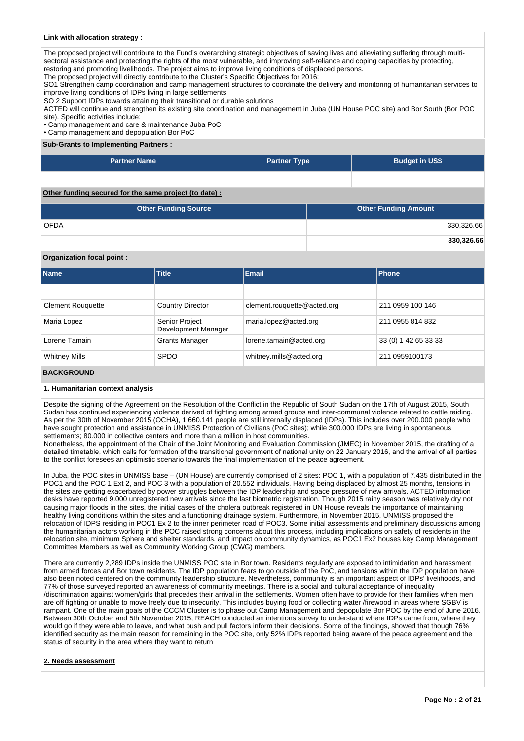#### **Link with allocation strategy :**

The proposed project will contribute to the Fund's overarching strategic objectives of saving lives and alleviating suffering through multisectoral assistance and protecting the rights of the most vulnerable, and improving self-reliance and coping capacities by protecting, restoring and promoting livelihoods. The project aims to improve living conditions of displaced persons.

The proposed project will directly contribute to the Cluster's Specific Objectives for 2016:

SO1 Strengthen camp coordination and camp management structures to coordinate the delivery and monitoring of humanitarian services to improve living conditions of IDPs living in large settlements

SO 2 Support IDPs towards attaining their transitional or durable solutions

ACTED will continue and strengthen its existing site coordination and management in Juba (UN House POC site) and Bor South (Bor POC site). Specific activities include:

• Camp management and care & maintenance Juba PoC

• Camp management and depopulation Bor PoC

#### **Sub-Grants to Implementing Partners :**

| Partner Name ˈ | <b>Partner Type</b> | <b>Budget in US\$</b> |
|----------------|---------------------|-----------------------|
|                |                     |                       |

**Other funding secured for the same project (to date) :**

| <b>Other Funding Source</b> | <b>Other Funding Amount</b> |
|-----------------------------|-----------------------------|
| <b>OFDA</b>                 | 330,326.66                  |
|                             | 330,326.66                  |

### **Organization focal point :**

| <b>Name</b>              | <b>Title</b>                          | Email                       | Phone                |
|--------------------------|---------------------------------------|-----------------------------|----------------------|
|                          |                                       |                             |                      |
| <b>Clement Rouguette</b> | <b>Country Director</b>               | clement.rouguette@acted.org | 211 0959 100 146     |
| Maria Lopez              | Senior Project<br>Development Manager | maria.lopez@acted.org       | 211 0955 814 832     |
| Lorene Tamain            | <b>Grants Manager</b>                 | lorene.tamain@acted.org     | 33 (0) 1 42 65 33 33 |
| <b>Whitney Mills</b>     | <b>SPDO</b>                           | whitney.mills@acted.org     | 211 0959100173       |

#### **BACKGROUND**

#### **1. Humanitarian context analysis**

Despite the signing of the Agreement on the Resolution of the Conflict in the Republic of South Sudan on the 17th of August 2015, South Sudan has continued experiencing violence derived of fighting among armed groups and inter-communal violence related to cattle raiding. As per the 30th of November 2015 (OCHA), 1.660.141 people are still internally displaced (IDPs). This includes over 200.000 people who have sought protection and assistance in UNMISS Protection of Civilians (PoC sites); while 300.000 IDPs are living in spontaneous settlements; 80.000 in collective centers and more than a million in host communities.

Nonetheless, the appointment of the Chair of the Joint Monitoring and Evaluation Commission (JMEC) in November 2015, the drafting of a detailed timetable, which calls for formation of the transitional government of national unity on 22 January 2016, and the arrival of all parties to the conflict foresees an optimistic scenario towards the final implementation of the peace agreement.

In Juba, the POC sites in UNMISS base – (UN House) are currently comprised of 2 sites: POC 1, with a population of 7.435 distributed in the POC1 and the POC 1 Ext 2, and POC 3 with a population of 20.552 individuals. Having being displaced by almost 25 months, tensions in the sites are getting exacerbated by power struggles between the IDP leadership and space pressure of new arrivals. ACTED information desks have reported 9.000 unregistered new arrivals since the last biometric registration. Though 2015 rainy season was relatively dry not causing major floods in the sites, the initial cases of the cholera outbreak registered in UN House reveals the importance of maintaining healthy living conditions within the sites and a functioning drainage system. Furthermore, in November 2015, UNMISS proposed the relocation of IDPS residing in POC1 Ex 2 to the inner perimeter road of POC3. Some initial assessments and preliminary discussions among the humanitarian actors working in the POC raised strong concerns about this process, including implications on safety of residents in the relocation site, minimum Sphere and shelter standards, and impact on community dynamics, as POC1 Ex2 houses key Camp Management Committee Members as well as Community Working Group (CWG) members.

There are currently 2,289 IDPs inside the UNMISS POC site in Bor town. Residents regularly are exposed to intimidation and harassment from armed forces and Bor town residents. The IDP population fears to go outside of the PoC, and tensions within the IDP population have also been noted centered on the community leadership structure. Nevertheless, community is an important aspect of IDPs' livelihoods, and 77% of those surveyed reported an awareness of community meetings. There is a social and cultural acceptance of inequality /discrimination against women/girls that precedes their arrival in the settlements. Women often have to provide for their families when men are off fighting or unable to move freely due to insecurity. This includes buying food or collecting water /firewood in areas where SGBV is rampant. One of the main goals of the CCCM Cluster is to phase out Camp Management and depopulate Bor POC by the end of June 2016. Between 30th October and 5th November 2015, REACH conducted an intentions survey to understand where IDPs came from, where they would go if they were able to leave, and what push and pull factors inform their decisions. Some of the findings, showed that though 76% identified security as the main reason for remaining in the POC site, only 52% IDPs reported being aware of the peace agreement and the status of security in the area where they want to return

#### **2. Needs assessment**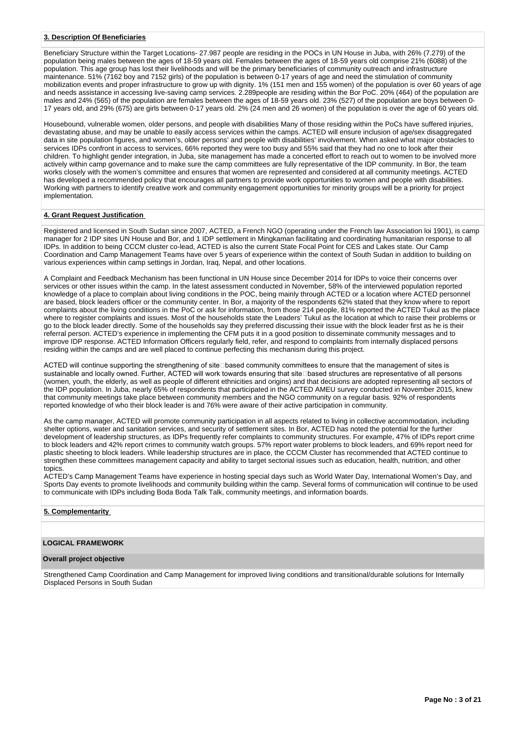### **3. Description Of Beneficiaries**

Beneficiary Structure within the Target Locations- 27.987 people are residing in the POCs in UN House in Juba, with 26% (7.279) of the population being males between the ages of 18-59 years old. Females between the ages of 18-59 years old comprise 21% (6088) of the population. This age group has lost their livelihoods and will be the primary beneficiaries of community outreach and infrastructure maintenance. 51% (7162 boy and 7152 girls) of the population is between 0-17 years of age and need the stimulation of community mobilization events and proper infrastructure to grow up with dignity. 1% (151 men and 155 women) of the population is over 60 years of age and needs assistance in accessing live-saving camp services. 2.289people are residing within the Bor PoC. 20% (464) of the population are males and 24% (565) of the population are females between the ages of 18-59 years old. 23% (527) of the population are boys between 0- 17 years old, and 29% (675) are girls between 0-17 years old. 2% (24 men and 26 women) of the population is over the age of 60 years old.

Housebound, vulnerable women, older persons, and people with disabilities Many of those residing within the PoCs have suffered injuries, devastating abuse, and may be unable to easily access services within the camps. ACTED will ensure inclusion of age/sex disaggregated data in site population figures, and women's, older persons' and people with disabilities' involvement. When asked what major obstacles to services IDPs confront in access to services, 66% reported they were too busy and 55% said that they had no one to look after their children. To highlight gender integration, in Juba, site management has made a concerted effort to reach out to women to be involved more actively within camp governance and to make sure the camp committees are fully representative of the IDP community. In Bor, the team works closely with the women's committee and ensures that women are represented and considered at all community meetings. ACTED has developed a recommended policy that encourages all partners to provide work opportunities to women and people with disabilities. Working with partners to identify creative work and community engagement opportunities for minority groups will be a priority for project implementation.

### **4. Grant Request Justification**

Registered and licensed in South Sudan since 2007, ACTED, a French NGO (operating under the French law Association loi 1901), is camp manager for 2 IDP sites UN House and Bor, and 1 IDP settlement in Mingkaman facilitating and coordinating humanitarian response to all IDPs. In addition to being CCCM cluster co-lead, ACTED is also the current State Focal Point for CES and Lakes state. Our Camp Coordination and Camp Management Teams have over 5 years of experience within the context of South Sudan in addition to building on various experiences within camp settings in Jordan, Iraq, Nepal, and other locations.

A Complaint and Feedback Mechanism has been functional in UN House since December 2014 for IDPs to voice their concerns over services or other issues within the camp. In the latest assessment conducted in November, 58% of the interviewed population reported knowledge of a place to complain about living conditions in the POC, being mainly through ACTED or a location where ACTED personnel are based, block leaders officer or the community center. In Bor, a majority of the respondents 62% stated that they know where to report complaints about the living conditions in the PoC or ask for information, from those 214 people, 81% reported the ACTED Tukul as the place where to register complaints and issues. Most of the households state the Leaders' Tukul as the location at which to raise their problems or go to the block leader directly. Some of the households say they preferred discussing their issue with the block leader first as he is their referral person. ACTED's experience in implementing the CFM puts it in a good position to disseminate community messages and to improve IDP response. ACTED Information Officers regularly field, refer, and respond to complaints from internally displaced persons residing within the camps and are well placed to continue perfecting this mechanism during this project.

ACTED will continue supporting the strengthening of site<br>
Dased community committees to ensure that the management of sites is sustainable and locally owned. Further, ACTED will work towards ensuring that site based structures are representative of all persons (women, youth, the elderly, as well as people of different ethnicities and origins) and that decisions are adopted representing all sectors of the IDP population. In Juba, nearly 65% of respondents that participated in the ACTED AMEU survey conducted in November 2015, knew that community meetings take place between community members and the NGO community on a regular basis. 92% of respondents reported knowledge of who their block leader is and 76% were aware of their active participation in community.

As the camp manager, ACTED will promote community participation in all aspects related to living in collective accommodation, including shelter options, water and sanitation services, and security of settlement sites. In Bor, ACTED has noted the potential for the further development of leadership structures, as IDPs frequently refer complaints to community structures. For example, 47% of IDPs report crime to block leaders and 42% report crimes to community watch groups. 57% report water problems to block leaders, and 69% report need for plastic sheeting to block leaders. While leadership structures are in place, the CCCM Cluster has recommended that ACTED continue to strengthen these committees management capacity and ability to target sectorial issues such as education, health, nutrition, and other topics

ACTED's Camp Management Teams have experience in hosting special days such as World Water Day, International Women's Day, and Sports Day events to promote livelihoods and community building within the camp. Several forms of communication will continue to be used to communicate with IDPs including Boda Boda Talk Talk, community meetings, and information boards.

### **5. Complementarity**

### **LOGICAL FRAMEWORK**

#### **Overall project objective**

Strengthened Camp Coordination and Camp Management for improved living conditions and transitional/durable solutions for Internally Displaced Persons in South Sudan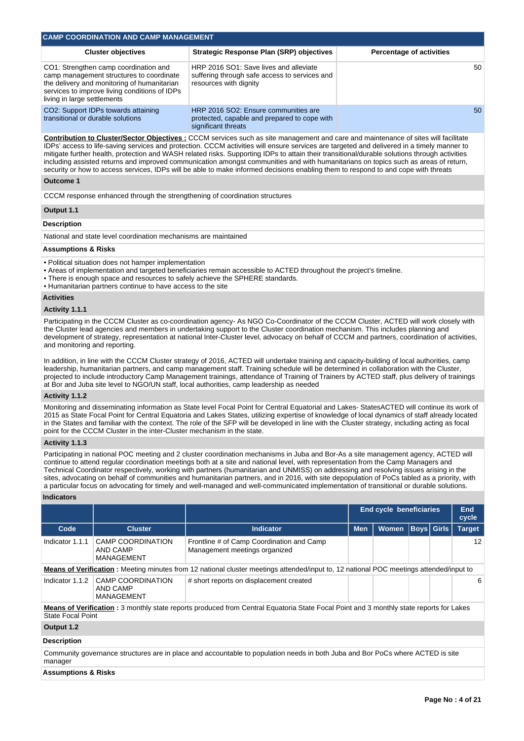| <b>CAMP COORDINATION AND CAMP MANAGEMENT</b>                                                                                                                                                                                                                                                                                                                                                                                                                                                                                                                                                                                                                                                                           |                                                                                                                                                                                   |                                                                                                                                                                                                                                                                                                                                                                                                                                                                                                                                                                                                                                                                                                               |                                                    |                                 |  |               |    |  |  |  |  |  |
|------------------------------------------------------------------------------------------------------------------------------------------------------------------------------------------------------------------------------------------------------------------------------------------------------------------------------------------------------------------------------------------------------------------------------------------------------------------------------------------------------------------------------------------------------------------------------------------------------------------------------------------------------------------------------------------------------------------------|-----------------------------------------------------------------------------------------------------------------------------------------------------------------------------------|---------------------------------------------------------------------------------------------------------------------------------------------------------------------------------------------------------------------------------------------------------------------------------------------------------------------------------------------------------------------------------------------------------------------------------------------------------------------------------------------------------------------------------------------------------------------------------------------------------------------------------------------------------------------------------------------------------------|----------------------------------------------------|---------------------------------|--|---------------|----|--|--|--|--|--|
|                                                                                                                                                                                                                                                                                                                                                                                                                                                                                                                                                                                                                                                                                                                        | <b>Cluster objectives</b>                                                                                                                                                         | <b>Strategic Response Plan (SRP) objectives</b>                                                                                                                                                                                                                                                                                                                                                                                                                                                                                                                                                                                                                                                               |                                                    | <b>Percentage of activities</b> |  |               |    |  |  |  |  |  |
| living in large settlements                                                                                                                                                                                                                                                                                                                                                                                                                                                                                                                                                                                                                                                                                            | CO1: Strengthen camp coordination and<br>camp management structures to coordinate<br>the delivery and monitoring of humanitarian<br>services to improve living conditions of IDPs | HRP 2016 SO1: Save lives and alleviate<br>suffering through safe access to services and<br>resources with dignity                                                                                                                                                                                                                                                                                                                                                                                                                                                                                                                                                                                             |                                                    |                                 |  |               |    |  |  |  |  |  |
| transitional or durable solutions                                                                                                                                                                                                                                                                                                                                                                                                                                                                                                                                                                                                                                                                                      | CO2: Support IDPs towards attaining                                                                                                                                               | HRP 2016 SO2: Ensure communities are<br>protected, capable and prepared to cope with<br>significant threats                                                                                                                                                                                                                                                                                                                                                                                                                                                                                                                                                                                                   |                                                    |                                 |  |               |    |  |  |  |  |  |
| <b>Contribution to Cluster/Sector Objectives :</b> CCCM services such as site management and care and maintenance of sites will facilitate<br>IDPs' access to life-saving services and protection. CCCM activities will ensure services are targeted and delivered in a timely manner to<br>mitigate further health, protection and WASH related risks. Supporting IDPs to attain their transitional/durable solutions through activities<br>including assisted returns and improved communication amongst communities and with humanitarians on topics such as areas of return,<br>security or how to access services, IDPs will be able to make informed decisions enabling them to respond to and cope with threats |                                                                                                                                                                                   |                                                                                                                                                                                                                                                                                                                                                                                                                                                                                                                                                                                                                                                                                                               |                                                    |                                 |  |               |    |  |  |  |  |  |
| <b>Outcome 1</b>                                                                                                                                                                                                                                                                                                                                                                                                                                                                                                                                                                                                                                                                                                       |                                                                                                                                                                                   |                                                                                                                                                                                                                                                                                                                                                                                                                                                                                                                                                                                                                                                                                                               |                                                    |                                 |  |               |    |  |  |  |  |  |
|                                                                                                                                                                                                                                                                                                                                                                                                                                                                                                                                                                                                                                                                                                                        |                                                                                                                                                                                   | CCCM response enhanced through the strengthening of coordination structures                                                                                                                                                                                                                                                                                                                                                                                                                                                                                                                                                                                                                                   |                                                    |                                 |  |               |    |  |  |  |  |  |
| Output 1.1                                                                                                                                                                                                                                                                                                                                                                                                                                                                                                                                                                                                                                                                                                             |                                                                                                                                                                                   |                                                                                                                                                                                                                                                                                                                                                                                                                                                                                                                                                                                                                                                                                                               |                                                    |                                 |  |               |    |  |  |  |  |  |
| <b>Description</b>                                                                                                                                                                                                                                                                                                                                                                                                                                                                                                                                                                                                                                                                                                     |                                                                                                                                                                                   |                                                                                                                                                                                                                                                                                                                                                                                                                                                                                                                                                                                                                                                                                                               |                                                    |                                 |  |               |    |  |  |  |  |  |
|                                                                                                                                                                                                                                                                                                                                                                                                                                                                                                                                                                                                                                                                                                                        | National and state level coordination mechanisms are maintained                                                                                                                   |                                                                                                                                                                                                                                                                                                                                                                                                                                                                                                                                                                                                                                                                                                               |                                                    |                                 |  |               |    |  |  |  |  |  |
| <b>Assumptions &amp; Risks</b>                                                                                                                                                                                                                                                                                                                                                                                                                                                                                                                                                                                                                                                                                         |                                                                                                                                                                                   |                                                                                                                                                                                                                                                                                                                                                                                                                                                                                                                                                                                                                                                                                                               |                                                    |                                 |  |               |    |  |  |  |  |  |
|                                                                                                                                                                                                                                                                                                                                                                                                                                                                                                                                                                                                                                                                                                                        | • Political situation does not hamper implementation<br>• Humanitarian partners continue to have access to the site                                                               | • Areas of implementation and targeted beneficiaries remain accessible to ACTED throughout the project's timeline.<br>. There is enough space and resources to safely achieve the SPHERE standards.                                                                                                                                                                                                                                                                                                                                                                                                                                                                                                           |                                                    |                                 |  |               |    |  |  |  |  |  |
| <b>Activities</b>                                                                                                                                                                                                                                                                                                                                                                                                                                                                                                                                                                                                                                                                                                      |                                                                                                                                                                                   |                                                                                                                                                                                                                                                                                                                                                                                                                                                                                                                                                                                                                                                                                                               |                                                    |                                 |  |               |    |  |  |  |  |  |
| Activity 1.1.1                                                                                                                                                                                                                                                                                                                                                                                                                                                                                                                                                                                                                                                                                                         |                                                                                                                                                                                   |                                                                                                                                                                                                                                                                                                                                                                                                                                                                                                                                                                                                                                                                                                               |                                                    |                                 |  |               |    |  |  |  |  |  |
| and monitoring and reporting.                                                                                                                                                                                                                                                                                                                                                                                                                                                                                                                                                                                                                                                                                          |                                                                                                                                                                                   | Participating in the CCCM Cluster as co-coordination agency- As NGO Co-Coordinator of the CCCM Cluster, ACTED will work closely with<br>the Cluster lead agencies and members in undertaking support to the Cluster coordination mechanism. This includes planning and<br>development of strategy, representation at national Inter-Cluster level, advocacy on behalf of CCCM and partners, coordination of activities,                                                                                                                                                                                                                                                                                       |                                                    |                                 |  |               |    |  |  |  |  |  |
|                                                                                                                                                                                                                                                                                                                                                                                                                                                                                                                                                                                                                                                                                                                        |                                                                                                                                                                                   | In addition, in line with the CCCM Cluster strategy of 2016, ACTED will undertake training and capacity-building of local authorities, camp<br>leadership, humanitarian partners, and camp management staff. Training schedule will be determined in collaboration with the Cluster,<br>projected to include introductory Camp Management trainings, attendance of Training of Trainers by ACTED staff, plus delivery of trainings<br>at Bor and Juba site level to NGO/UN staff, local authorities, camp leadership as needed                                                                                                                                                                                |                                                    |                                 |  |               |    |  |  |  |  |  |
| Activity 1.1.2                                                                                                                                                                                                                                                                                                                                                                                                                                                                                                                                                                                                                                                                                                         |                                                                                                                                                                                   |                                                                                                                                                                                                                                                                                                                                                                                                                                                                                                                                                                                                                                                                                                               |                                                    |                                 |  |               |    |  |  |  |  |  |
|                                                                                                                                                                                                                                                                                                                                                                                                                                                                                                                                                                                                                                                                                                                        | point for the CCCM Cluster in the inter-Cluster mechanism in the state.                                                                                                           | Monitoring and disseminating information as State level Focal Point for Central Equatorial and Lakes-StatesACTED will continue its work of<br>2015 as State Focal Point for Central Equatoria and Lakes States, utilizing expertise of knowledge of local dynamics of staff already located<br>in the States and familiar with the context. The role of the SFP will be developed in line with the Cluster strategy, including acting as focal                                                                                                                                                                                                                                                                |                                                    |                                 |  |               |    |  |  |  |  |  |
| Activity 1.1.3                                                                                                                                                                                                                                                                                                                                                                                                                                                                                                                                                                                                                                                                                                         |                                                                                                                                                                                   |                                                                                                                                                                                                                                                                                                                                                                                                                                                                                                                                                                                                                                                                                                               |                                                    |                                 |  |               |    |  |  |  |  |  |
|                                                                                                                                                                                                                                                                                                                                                                                                                                                                                                                                                                                                                                                                                                                        |                                                                                                                                                                                   | Participating in national POC meeting and 2 cluster coordination mechanisms in Juba and Bor-As a site management agency, ACTED will<br>continue to attend regular coordination meetings both at a site and national level, with representation from the Camp Managers and<br>Technical Coordinator respectively, working with partners (humanitarian and UNMISS) on addressing and resolving issues arising in the<br>sites, advocating on behalf of communities and humanitarian partners, and in 2016, with site depopulation of PoCs tabled as a priority, with<br>a particular focus on advocating for timely and well-managed and well-communicated implementation of transitional or durable solutions. |                                                    |                                 |  |               |    |  |  |  |  |  |
| <b>Indicators</b>                                                                                                                                                                                                                                                                                                                                                                                                                                                                                                                                                                                                                                                                                                      |                                                                                                                                                                                   |                                                                                                                                                                                                                                                                                                                                                                                                                                                                                                                                                                                                                                                                                                               |                                                    |                                 |  |               |    |  |  |  |  |  |
|                                                                                                                                                                                                                                                                                                                                                                                                                                                                                                                                                                                                                                                                                                                        |                                                                                                                                                                                   |                                                                                                                                                                                                                                                                                                                                                                                                                                                                                                                                                                                                                                                                                                               | <b>End cycle beneficiaries</b><br>End<br>cycle     |                                 |  |               |    |  |  |  |  |  |
| Code                                                                                                                                                                                                                                                                                                                                                                                                                                                                                                                                                                                                                                                                                                                   | <b>Cluster</b>                                                                                                                                                                    | <b>Indicator</b>                                                                                                                                                                                                                                                                                                                                                                                                                                                                                                                                                                                                                                                                                              | Women<br><b>Boys</b><br><b>Girls</b><br><b>Men</b> |                                 |  | <b>Target</b> |    |  |  |  |  |  |
| Indicator 1.1.1                                                                                                                                                                                                                                                                                                                                                                                                                                                                                                                                                                                                                                                                                                        | <b>CAMP COORDINATION</b><br><b>AND CAMP</b><br>MANAGEMENT                                                                                                                         | Frontline # of Camp Coordination and Camp<br>Management meetings organized                                                                                                                                                                                                                                                                                                                                                                                                                                                                                                                                                                                                                                    |                                                    |                                 |  |               | 12 |  |  |  |  |  |
|                                                                                                                                                                                                                                                                                                                                                                                                                                                                                                                                                                                                                                                                                                                        |                                                                                                                                                                                   | <b>Means of Verification</b> : Meeting minutes from 12 national cluster meetings attended/input to, 12 national POC meetings attended/input to                                                                                                                                                                                                                                                                                                                                                                                                                                                                                                                                                                |                                                    |                                 |  |               |    |  |  |  |  |  |
| Indicator 1.1.2                                                                                                                                                                                                                                                                                                                                                                                                                                                                                                                                                                                                                                                                                                        | CAMP COORDINATION<br><b>AND CAMP</b><br>MANAGEMENT                                                                                                                                | # short reports on displacement created                                                                                                                                                                                                                                                                                                                                                                                                                                                                                                                                                                                                                                                                       |                                                    |                                 |  |               | 6  |  |  |  |  |  |
| <b>State Focal Point</b>                                                                                                                                                                                                                                                                                                                                                                                                                                                                                                                                                                                                                                                                                               |                                                                                                                                                                                   | Means of Verification : 3 monthly state reports produced from Central Equatoria State Focal Point and 3 monthly state reports for Lakes                                                                                                                                                                                                                                                                                                                                                                                                                                                                                                                                                                       |                                                    |                                 |  |               |    |  |  |  |  |  |

# **Output 1.2**

## **Description**

Community governance structures are in place and accountable to population needs in both Juba and Bor PoCs where ACTED is site manager

### **Assumptions & Risks**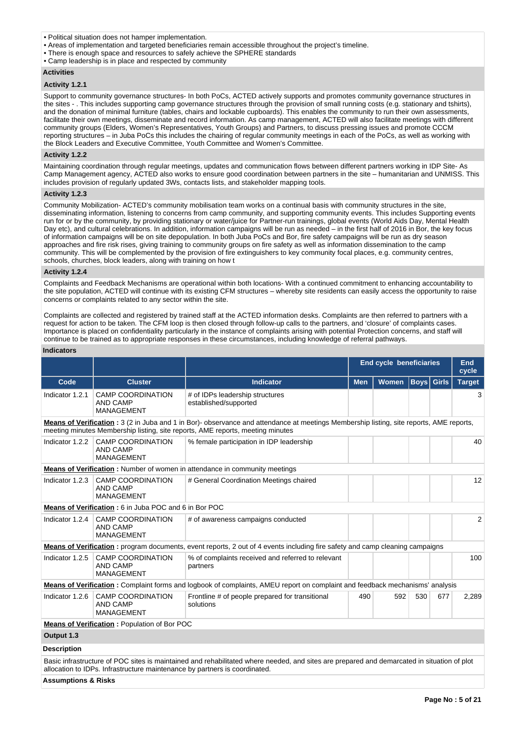- Political situation does not hamper implementation.
- Areas of implementation and targeted beneficiaries remain accessible throughout the project's timeline.
- There is enough space and resources to safely achieve the SPHERE standards
- Camp leadership is in place and respected by community

### **Activities**

### **Activity 1.2.1**

Support to community governance structures- In both PoCs, ACTED actively supports and promotes community governance structures in the sites - . This includes supporting camp governance structures through the provision of small running costs (e.g. stationary and tshirts), and the donation of minimal furniture (tables, chairs and lockable cupboards). This enables the community to run their own assessments, facilitate their own meetings, disseminate and record information. As camp management, ACTED will also facilitate meetings with different community groups (Elders, Women's Representatives, Youth Groups) and Partners, to discuss pressing issues and promote CCCM reporting structures – in Juba PoCs this includes the chairing of regular community meetings in each of the PoCs, as well as working with the Block Leaders and Executive Committee, Youth Committee and Women's Committee.

#### **Activity 1.2.2**

Maintaining coordination through regular meetings, updates and communication flows between different partners working in IDP Site- As Camp Management agency, ACTED also works to ensure good coordination between partners in the site – humanitarian and UNMISS. This includes provision of regularly updated 3Ws, contacts lists, and stakeholder mapping tools.

#### **Activity 1.2.3**

Community Mobilization- ACTED's community mobilisation team works on a continual basis with community structures in the site, disseminating information, listening to concerns from camp community, and supporting community events. This includes Supporting events run for or by the community, by providing stationary or water/juice for Partner-run trainings, global events (World Aids Day, Mental Health Day etc), and cultural celebrations. In addition, information campaigns will be run as needed – in the first half of 2016 in Bor, the key focus of information campaigns will be on site depopulation. In both Juba PoCs and Bor, fire safety campaigns will be run as dry season approaches and fire risk rises, giving training to community groups on fire safety as well as information dissemination to the camp community. This will be complemented by the provision of fire extinguishers to key community focal places, e.g. community centres, schools, churches, block leaders, along with training on how t

#### **Activity 1.2.4**

Complaints and Feedback Mechanisms are operational within both locations- With a continued commitment to enhancing accountability to the site population, ACTED will continue with its existing CFM structures – whereby site residents can easily access the opportunity to raise concerns or complaints related to any sector within the site.

Complaints are collected and registered by trained staff at the ACTED information desks. Complaints are then referred to partners with a request for action to be taken. The CFM loop is then closed through follow-up calls to the partners, and 'closure' of complaints cases. Importance is placed on confidentiality particularly in the instance of complaints arising with potential Protection concerns, and staff will continue to be trained as to appropriate responses in these circumstances, including knowledge of referral pathways.

#### **Indicators**

|                                                                                                                                                                                                                                   |                                                                            |                                                                                                                                            | <b>End cycle beneficiaries</b><br>End<br>cycle |              |                   |     |                |  |  |  |
|-----------------------------------------------------------------------------------------------------------------------------------------------------------------------------------------------------------------------------------|----------------------------------------------------------------------------|--------------------------------------------------------------------------------------------------------------------------------------------|------------------------------------------------|--------------|-------------------|-----|----------------|--|--|--|
| Code                                                                                                                                                                                                                              | <b>Cluster</b>                                                             | <b>Indicator</b>                                                                                                                           | <b>Men</b>                                     | <b>Women</b> | <b>Boys</b> Girls |     | <b>Target</b>  |  |  |  |
| Indicator 1.2.1                                                                                                                                                                                                                   | <b>CAMP COORDINATION</b><br><b>AND CAMP</b><br><b>MANAGEMENT</b>           | # of IDPs leadership structures<br>established/supported                                                                                   |                                                |              |                   |     | 3              |  |  |  |
| <b>Means of Verification</b> : 3 (2 in Juba and 1 in Bor)- observance and attendance at meetings Membership listing, site reports, AME reports,<br>meeting minutes Membership listing, site reports, AME reports, meeting minutes |                                                                            |                                                                                                                                            |                                                |              |                   |     |                |  |  |  |
| Indicator 1.2.2                                                                                                                                                                                                                   | <b>CAMP COORDINATION</b><br><b>AND CAMP</b><br><b>MANAGEMENT</b>           | % female participation in IDP leadership                                                                                                   |                                                |              |                   |     | 40             |  |  |  |
|                                                                                                                                                                                                                                   |                                                                            | <b>Means of Verification:</b> Number of women in attendance in community meetings                                                          |                                                |              |                   |     |                |  |  |  |
| Indicator 1.2.3                                                                                                                                                                                                                   | <b>CAMP COORDINATION</b><br><b>AND CAMP</b><br><b>MANAGEMENT</b>           | # General Coordination Meetings chaired                                                                                                    |                                                |              |                   |     | 12             |  |  |  |
|                                                                                                                                                                                                                                   | Means of Verification: 6 in Juba POC and 6 in Bor POC                      |                                                                                                                                            |                                                |              |                   |     |                |  |  |  |
| Indicator 1.2.4                                                                                                                                                                                                                   | <b>CAMP COORDINATION</b><br><b>AND CAMP</b><br><b>MANAGEMENT</b>           | # of awareness campaigns conducted                                                                                                         |                                                |              |                   |     | $\overline{2}$ |  |  |  |
|                                                                                                                                                                                                                                   |                                                                            | Means of Verification: program documents, event reports, 2 out of 4 events including fire safety and camp cleaning campaigns               |                                                |              |                   |     |                |  |  |  |
| Indicator 1.2.5                                                                                                                                                                                                                   | <b>CAMP COORDINATION</b><br><b>AND CAMP</b><br><b>MANAGEMENT</b>           | % of complaints received and referred to relevant<br>partners                                                                              |                                                |              |                   |     | 100            |  |  |  |
|                                                                                                                                                                                                                                   |                                                                            | Means of Verification: Complaint forms and logbook of complaints, AMEU report on complaint and feedback mechanisms' analysis               |                                                |              |                   |     |                |  |  |  |
| Indicator 1.2.6                                                                                                                                                                                                                   | <b>CAMP COORDINATION</b><br><b>AND CAMP</b><br><b>MANAGEMENT</b>           | Frontline # of people prepared for transitional<br>solutions                                                                               | 490                                            | 592          | 530               | 677 | 2,289          |  |  |  |
|                                                                                                                                                                                                                                   | <b>Means of Verification:</b> Population of Bor POC                        |                                                                                                                                            |                                                |              |                   |     |                |  |  |  |
| Output 1.3                                                                                                                                                                                                                        |                                                                            |                                                                                                                                            |                                                |              |                   |     |                |  |  |  |
| <b>Description</b>                                                                                                                                                                                                                |                                                                            |                                                                                                                                            |                                                |              |                   |     |                |  |  |  |
|                                                                                                                                                                                                                                   | allocation to IDPs. Infrastructure maintenance by partners is coordinated. | Basic infrastructure of POC sites is maintained and rehabilitated where needed, and sites are prepared and demarcated in situation of plot |                                                |              |                   |     |                |  |  |  |

**Assumptions & Risks**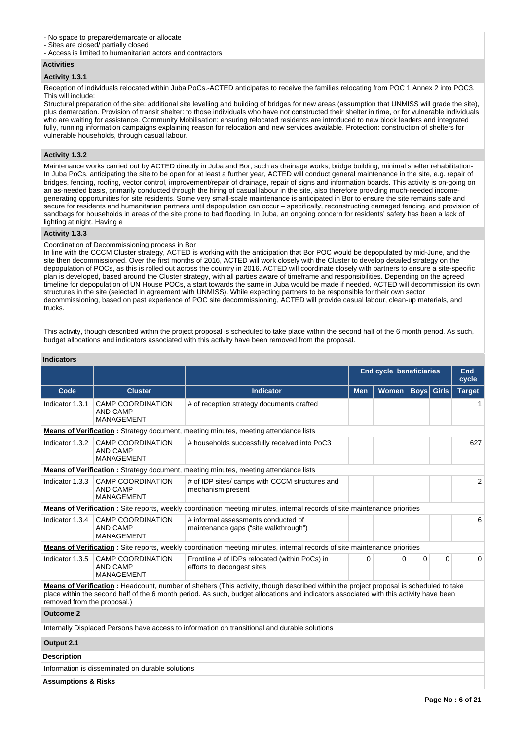#### - No space to prepare/demarcate or allocate

- Sites are closed/ partially closed
- Access is limited to humanitarian actors and contractors

#### **Activities**

#### **Activity 1.3.1**

Reception of individuals relocated within Juba PoCs.-ACTED anticipates to receive the families relocating from POC 1 Annex 2 into POC3. This will include:

Structural preparation of the site: additional site levelling and building of bridges for new areas (assumption that UNMISS will grade the site), plus demarcation. Provision of transit shelter: to those individuals who have not constructed their shelter in time, or for vulnerable individuals who are waiting for assistance. Community Mobilisation: ensuring relocated residents are introduced to new block leaders and integrated fully, running information campaigns explaining reason for relocation and new services available. Protection: construction of shelters for vulnerable households, through casual labour.

#### **Activity 1.3.2**

Maintenance works carried out by ACTED directly in Juba and Bor, such as drainage works, bridge building, minimal shelter rehabilitation-In Juba PoCs, anticipating the site to be open for at least a further year, ACTED will conduct general maintenance in the site, e.g. repair of bridges, fencing, roofing, vector control, improvement/repair of drainage, repair of signs and information boards. This activity is on-going on an as-needed basis, primarily conducted through the hiring of casual labour in the site, also therefore providing much-needed incomegenerating opportunities for site residents. Some very small-scale maintenance is anticipated in Bor to ensure the site remains safe and secure for residents and humanitarian partners until depopulation can occur – specifically, reconstructing damaged fencing, and provision of sandbags for households in areas of the site prone to bad flooding. In Juba, an ongoing concern for residents' safety has been a lack of lighting at night. Having e

#### **Activity 1.3.3**

#### Coordination of Decommissioning process in Bor

In line with the CCCM Cluster strategy, ACTED is working with the anticipation that Bor POC would be depopulated by mid-June, and the site then decommissioned. Over the first months of 2016, ACTED will work closely with the Cluster to develop detailed strategy on the depopulation of POCs, as this is rolled out across the country in 2016. ACTED will coordinate closely with partners to ensure a site-specific plan is developed, based around the Cluster strategy, with all parties aware of timeframe and responsibilities. Depending on the agreed timeline for depopulation of UN House POCs, a start towards the same in Juba would be made if needed. ACTED will decommission its own structures in the site (selected in agreement with UNMISS). While expecting partners to be responsible for their own sector decommissioning, based on past experience of POC site decommissioning, ACTED will provide casual labour, clean-up materials, and trucks.

This activity, though described within the project proposal is scheduled to take place within the second half of the 6 month period. As such, budget allocations and indicators associated with this activity have been removed from the proposal.

|                                                                                            |                                                                  |                                                                                                                                                                                                                                                                                  | <b>End cycle beneficiaries</b> | End<br>cycle |                   |             |                |  |
|--------------------------------------------------------------------------------------------|------------------------------------------------------------------|----------------------------------------------------------------------------------------------------------------------------------------------------------------------------------------------------------------------------------------------------------------------------------|--------------------------------|--------------|-------------------|-------------|----------------|--|
| Code                                                                                       | <b>Cluster</b>                                                   | <b>Indicator</b>                                                                                                                                                                                                                                                                 | <b>Men</b>                     | <b>Women</b> | <b>Boys</b> Girls |             | <b>Target</b>  |  |
| Indicator 1.3.1                                                                            | <b>CAMP COORDINATION</b><br>AND CAMP<br><b>MANAGEMENT</b>        | # of reception strategy documents drafted                                                                                                                                                                                                                                        |                                |              |                   |             |                |  |
| <b>Means of Verification:</b> Strategy document, meeting minutes, meeting attendance lists |                                                                  |                                                                                                                                                                                                                                                                                  |                                |              |                   |             |                |  |
| Indicator 1.3.2                                                                            | <b>CAMP COORDINATION</b><br><b>AND CAMP</b><br><b>MANAGEMENT</b> | # households successfully received into PoC3                                                                                                                                                                                                                                     |                                |              |                   |             | 627            |  |
|                                                                                            |                                                                  | <b>Means of Verification:</b> Strategy document, meeting minutes, meeting attendance lists                                                                                                                                                                                       |                                |              |                   |             |                |  |
| Indicator 1.3.3                                                                            | <b>CAMP COORDINATION</b><br><b>AND CAMP</b><br><b>MANAGEMENT</b> | # of IDP sites/ camps with CCCM structures and<br>mechanism present                                                                                                                                                                                                              |                                |              |                   |             | $\overline{2}$ |  |
|                                                                                            |                                                                  | <b>Means of Verification</b> : Site reports, weekly coordination meeting minutes, internal records of site maintenance priorities                                                                                                                                                |                                |              |                   |             |                |  |
| Indicator 1.3.4                                                                            | <b>CAMP COORDINATION</b><br><b>AND CAMP</b><br><b>MANAGEMENT</b> | # informal assessments conducted of<br>maintenance gaps ("site walkthrough")                                                                                                                                                                                                     |                                |              |                   |             | 6              |  |
|                                                                                            |                                                                  | <b>Means of Verification</b> : Site reports, weekly coordination meeting minutes, internal records of site maintenance priorities                                                                                                                                                |                                |              |                   |             |                |  |
| Indicator 1.3.5                                                                            | <b>CAMP COORDINATION</b><br><b>AND CAMP</b><br><b>MANAGEMENT</b> | Frontline # of IDPs relocated (within PoCs) in<br>efforts to decongest sites                                                                                                                                                                                                     | 0                              | 0            | 0                 | $\mathbf 0$ | 0              |  |
| removed from the proposal.)                                                                |                                                                  | Means of Verification: Headcount, number of shelters (This activity, though described within the project proposal is scheduled to take<br>place within the second half of the 6 month period. As such, budget allocations and indicators associated with this activity have been |                                |              |                   |             |                |  |
| <b>Outcome 2</b>                                                                           |                                                                  |                                                                                                                                                                                                                                                                                  |                                |              |                   |             |                |  |
|                                                                                            |                                                                  | Internally Displaced Persons have access to information on transitional and durable solutions                                                                                                                                                                                    |                                |              |                   |             |                |  |
| Output 2.1                                                                                 |                                                                  |                                                                                                                                                                                                                                                                                  |                                |              |                   |             |                |  |
| <b>Description</b>                                                                         |                                                                  |                                                                                                                                                                                                                                                                                  |                                |              |                   |             |                |  |
|                                                                                            | Information is disseminated on durable solutions                 |                                                                                                                                                                                                                                                                                  |                                |              |                   |             |                |  |
| <b>Assumptions &amp; Risks</b>                                                             |                                                                  |                                                                                                                                                                                                                                                                                  |                                |              |                   |             |                |  |

### **Indicators**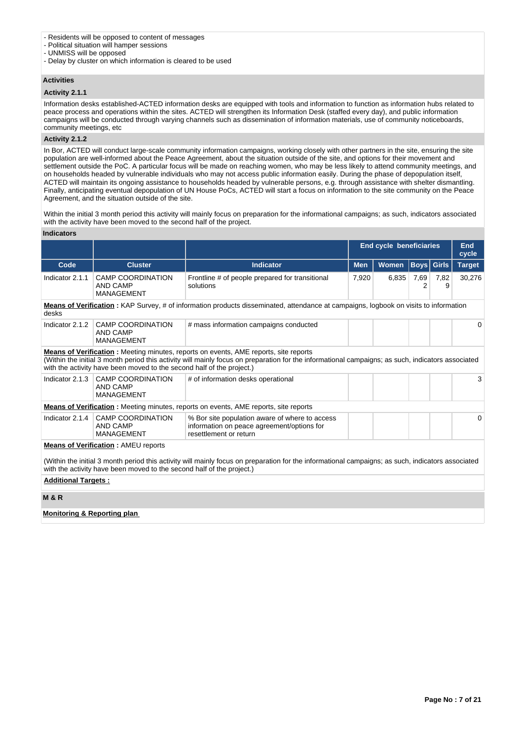#### - Residents will be opposed to content of messages

- Political situation will hamper sessions

- UNMISS will be opposed

- Delay by cluster on which information is cleared to be used

#### **Activities**

#### **Activity 2.1.1**

Information desks established-ACTED information desks are equipped with tools and information to function as information hubs related to peace process and operations within the sites. ACTED will strengthen its Information Desk (staffed every day), and public information campaigns will be conducted through varying channels such as dissemination of information materials, use of community noticeboards, community meetings, etc

### **Activity 2.1.2**

In Bor, ACTED will conduct large-scale community information campaigns, working closely with other partners in the site, ensuring the site population are well-informed about the Peace Agreement, about the situation outside of the site, and options for their movement and settlement outside the PoC. A particular focus will be made on reaching women, who may be less likely to attend community meetings, and on households headed by vulnerable individuals who may not access public information easily. During the phase of depopulation itself, ACTED will maintain its ongoing assistance to households headed by vulnerable persons, e.g. through assistance with shelter dismantling. Finally, anticipating eventual depopulation of UN House PoCs, ACTED will start a focus on information to the site community on the Peace Agreement, and the situation outside of the site.

Within the initial 3 month period this activity will mainly focus on preparation for the informational campaigns; as such, indicators associated with the activity have been moved to the second half of the project.

#### **Indicators**

|                                        |                                                                       |                                                                                                                                                                                                                                                  | <b>End cycle beneficiaries</b> |       | <b>End</b><br>cycle |                   |               |  |
|----------------------------------------|-----------------------------------------------------------------------|--------------------------------------------------------------------------------------------------------------------------------------------------------------------------------------------------------------------------------------------------|--------------------------------|-------|---------------------|-------------------|---------------|--|
| Code                                   | <b>Cluster</b>                                                        | <b>Indicator</b>                                                                                                                                                                                                                                 | <b>Men</b>                     | Women |                     | <b>Boys</b> Girls | <b>Target</b> |  |
| Indicator 2.1.1                        | <b>CAMP COORDINATION</b><br>AND CAMP<br><b>MANAGEMENT</b>             | Frontline # of people prepared for transitional<br>solutions                                                                                                                                                                                     | 7,920                          | 6,835 | 7,69<br>2           | 7,82<br>9         | 30,276        |  |
| desks                                  |                                                                       | <b>Means of Verification</b> : KAP Survey, # of information products disseminated, attendance at campaigns, logbook on visits to information                                                                                                     |                                |       |                     |                   |               |  |
| Indicator 2.1.2                        | <b>CAMP COORDINATION</b><br><b>AND CAMP</b><br><b>MANAGEMENT</b>      | # mass information campaigns conducted                                                                                                                                                                                                           |                                |       |                     |                   | 0             |  |
|                                        | with the activity have been moved to the second half of the project.) | <b>Means of Verification:</b> Meeting minutes, reports on events, AME reports, site reports<br>(Within the initial 3 month period this activity will mainly focus on preparation for the informational campaigns; as such, indicators associated |                                |       |                     |                   |               |  |
| Indicator $2.1.3$                      | <b>CAMP COORDINATION</b><br><b>AND CAMP</b><br><b>MANAGEMENT</b>      | # of information desks operational                                                                                                                                                                                                               |                                |       |                     |                   | 3             |  |
|                                        |                                                                       | <b>Means of Verification:</b> Meeting minutes, reports on events, AME reports, site reports                                                                                                                                                      |                                |       |                     |                   |               |  |
| Indicator $2.1.4$                      | <b>CAMP COORDINATION</b><br><b>AND CAMP</b><br><b>MANAGEMENT</b>      | % Bor site population aware of where to access<br>information on peace agreement/options for<br>resettlement or return                                                                                                                           |                                |       |                     |                   | $\Omega$      |  |
|                                        | <b>Means of Verification: AMEU reports</b>                            |                                                                                                                                                                                                                                                  |                                |       |                     |                   |               |  |
|                                        | with the activity have been moved to the second half of the project.) | (Within the initial 3 month period this activity will mainly focus on preparation for the informational campaigns; as such, indicators associated                                                                                                |                                |       |                     |                   |               |  |
|                                        | <b>Additional Targets:</b>                                            |                                                                                                                                                                                                                                                  |                                |       |                     |                   |               |  |
| <b>M&amp;R</b>                         |                                                                       |                                                                                                                                                                                                                                                  |                                |       |                     |                   |               |  |
| <b>Monitoring &amp; Reporting plan</b> |                                                                       |                                                                                                                                                                                                                                                  |                                |       |                     |                   |               |  |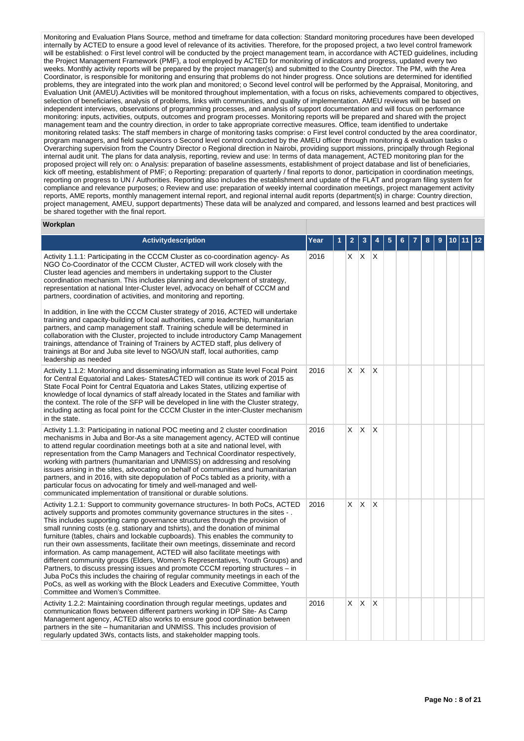Monitoring and Evaluation Plans Source, method and timeframe for data collection: Standard monitoring procedures have been developed internally by ACTED to ensure a good level of relevance of its activities. Therefore, for the proposed project, a two level control framework will be established: o First level control will be conducted by the project management team, in accordance with ACTED guidelines, including the Project Management Framework (PMF), a tool employed by ACTED for monitoring of indicators and progress, updated every two weeks. Monthly activity reports will be prepared by the project manager(s) and submitted to the Country Director. The PM, with the Area Coordinator, is responsible for monitoring and ensuring that problems do not hinder progress. Once solutions are determined for identified problems, they are integrated into the work plan and monitored; o Second level control will be performed by the Appraisal, Monitoring, and Evaluation Unit (AMEU).Activities will be monitored throughout implementation, with a focus on risks, achievements compared to objectives, selection of beneficiaries, analysis of problems, links with communities, and quality of implementation. AMEU reviews will be based on independent interviews, observations of programming processes, and analysis of support documentation and will focus on performance monitoring: inputs, activities, outputs, outcomes and program processes. Monitoring reports will be prepared and shared with the project management team and the country direction, in order to take appropriate corrective measures. Office, team identified to undertake monitoring related tasks: The staff members in charge of monitoring tasks comprise: o First level control conducted by the area coordinator, program managers, and field supervisors o Second level control conducted by the AMEU officer through monitoring & evaluation tasks o Overarching supervision from the Country Director o Regional direction in Nairobi, providing support missions, principally through Regional internal audit unit. The plans for data analysis, reporting, review and use: In terms of data management, ACTED monitoring plan for the proposed project will rely on: o Analysis: preparation of baseline assessments, establishment of project database and list of beneficiaries, kick off meeting, establishment of PMF; o Reporting: preparation of quarterly / final reports to donor, participation in coordination meetings, reporting on progress to UN / Authorities. Reporting also includes the establishment and update of the FLAT and program filing system for compliance and relevance purposes; o Review and use: preparation of weekly internal coordination meetings, project management activity reports, AME reports, monthly management internal report, and regional internal audit reports (department(s) in charge: Country direction, project management, AMEU, support departments) These data will be analyzed and compared, and lessons learned and best practices will be shared together with the final report.

#### **Workplan**

| Activitydescription                                                                                                                                                                                                                                                                                                                                                                                                                                                                                                                                                                                                                                                                                                                                                                                                                                                                                                                                                                                                       | Year | 1 | $\overline{2}$ | 3            |              | 5 | 6 | 8 | 9 | 10 | $ 12\rangle$ |
|---------------------------------------------------------------------------------------------------------------------------------------------------------------------------------------------------------------------------------------------------------------------------------------------------------------------------------------------------------------------------------------------------------------------------------------------------------------------------------------------------------------------------------------------------------------------------------------------------------------------------------------------------------------------------------------------------------------------------------------------------------------------------------------------------------------------------------------------------------------------------------------------------------------------------------------------------------------------------------------------------------------------------|------|---|----------------|--------------|--------------|---|---|---|---|----|--------------|
| Activity 1.1.1: Participating in the CCCM Cluster as co-coordination agency- As<br>NGO Co-Coordinator of the CCCM Cluster, ACTED will work closely with the<br>Cluster lead agencies and members in undertaking support to the Cluster<br>coordination mechanism. This includes planning and development of strategy,<br>representation at national Inter-Cluster level, advocacy on behalf of CCCM and<br>partners, coordination of activities, and monitoring and reporting.<br>In addition, in line with the CCCM Cluster strategy of 2016, ACTED will undertake<br>training and capacity-building of local authorities, camp leadership, humanitarian<br>partners, and camp management staff. Training schedule will be determined in<br>collaboration with the Cluster, projected to include introductory Camp Management<br>trainings, attendance of Training of Trainers by ACTED staff, plus delivery of<br>trainings at Bor and Juba site level to NGO/UN staff, local authorities, camp<br>leadership as needed | 2016 |   | $X$ $X$        |              | $\mathsf{X}$ |   |   |   |   |    |              |
| Activity 1.1.2: Monitoring and disseminating information as State level Focal Point<br>for Central Equatorial and Lakes- StatesACTED will continue its work of 2015 as<br>State Focal Point for Central Equatoria and Lakes States, utilizing expertise of<br>knowledge of local dynamics of staff already located in the States and familiar with<br>the context. The role of the SFP will be developed in line with the Cluster strategy,<br>including acting as focal point for the CCCM Cluster in the inter-Cluster mechanism<br>in the state.                                                                                                                                                                                                                                                                                                                                                                                                                                                                       | 2016 |   | X              | $\mathsf{X}$ | $\mathsf{X}$ |   |   |   |   |    |              |
| Activity 1.1.3: Participating in national POC meeting and 2 cluster coordination<br>mechanisms in Juba and Bor-As a site management agency, ACTED will continue<br>to attend regular coordination meetings both at a site and national level, with<br>representation from the Camp Managers and Technical Coordinator respectively,<br>working with partners (humanitarian and UNMISS) on addressing and resolving<br>issues arising in the sites, advocating on behalf of communities and humanitarian<br>partners, and in 2016, with site depopulation of PoCs tabled as a priority, with a<br>particular focus on advocating for timely and well-managed and well-<br>communicated implementation of transitional or durable solutions.                                                                                                                                                                                                                                                                                | 2016 |   | X.             | X            | X            |   |   |   |   |    |              |
| Activity 1.2.1: Support to community governance structures- In both PoCs, ACTED<br>actively supports and promotes community governance structures in the sites -.<br>This includes supporting camp governance structures through the provision of<br>small running costs (e.g. stationary and tshirts), and the donation of minimal<br>furniture (tables, chairs and lockable cupboards). This enables the community to<br>run their own assessments, facilitate their own meetings, disseminate and record<br>information. As camp management, ACTED will also facilitate meetings with<br>different community groups (Elders, Women's Representatives, Youth Groups) and<br>Partners, to discuss pressing issues and promote CCCM reporting structures – in<br>Juba PoCs this includes the chairing of regular community meetings in each of the<br>PoCs, as well as working with the Block Leaders and Executive Committee, Youth<br>Committee and Women's Committee.                                                  | 2016 |   | X.             | <b>X</b>     | İΧ           |   |   |   |   |    |              |
| Activity 1.2.2: Maintaining coordination through regular meetings, updates and<br>communication flows between different partners working in IDP Site- As Camp<br>Management agency, ACTED also works to ensure good coordination between<br>partners in the site – humanitarian and UNMISS. This includes provision of<br>regularly updated 3Ws, contacts lists, and stakeholder mapping tools.                                                                                                                                                                                                                                                                                                                                                                                                                                                                                                                                                                                                                           | 2016 |   | X.             | <b>X</b>     | İΧ           |   |   |   |   |    |              |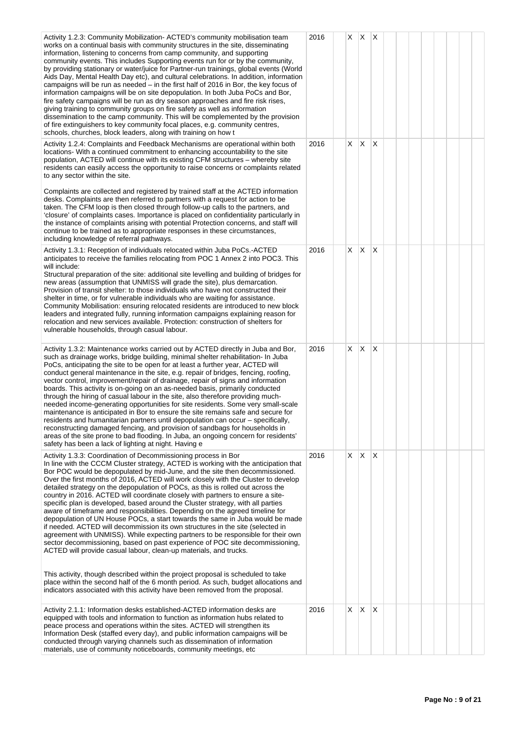| Activity 1.2.3: Community Mobilization-ACTED's community mobilisation team<br>works on a continual basis with community structures in the site, disseminating<br>information, listening to concerns from camp community, and supporting<br>community events. This includes Supporting events run for or by the community,<br>by providing stationary or water/juice for Partner-run trainings, global events (World<br>Aids Day, Mental Health Day etc), and cultural celebrations. In addition, information<br>campaigns will be run as needed – in the first half of 2016 in Bor, the key focus of<br>information campaigns will be on site depopulation. In both Juba PoCs and Bor,<br>fire safety campaigns will be run as dry season approaches and fire risk rises,<br>giving training to community groups on fire safety as well as information<br>dissemination to the camp community. This will be complemented by the provision<br>of fire extinguishers to key community focal places, e.g. community centres,<br>schools, churches, block leaders, along with training on how t                                                                          | 2016 | X          | $\mathsf{X}$ | X                       |  |  |  |  |
|----------------------------------------------------------------------------------------------------------------------------------------------------------------------------------------------------------------------------------------------------------------------------------------------------------------------------------------------------------------------------------------------------------------------------------------------------------------------------------------------------------------------------------------------------------------------------------------------------------------------------------------------------------------------------------------------------------------------------------------------------------------------------------------------------------------------------------------------------------------------------------------------------------------------------------------------------------------------------------------------------------------------------------------------------------------------------------------------------------------------------------------------------------------------|------|------------|--------------|-------------------------|--|--|--|--|
| Activity 1.2.4: Complaints and Feedback Mechanisms are operational within both<br>locations- With a continued commitment to enhancing accountability to the site<br>population, ACTED will continue with its existing CFM structures – whereby site<br>residents can easily access the opportunity to raise concerns or complaints related<br>to any sector within the site.                                                                                                                                                                                                                                                                                                                                                                                                                                                                                                                                                                                                                                                                                                                                                                                         | 2016 | X.         | $\mathsf{X}$ | X                       |  |  |  |  |
| Complaints are collected and registered by trained staff at the ACTED information<br>desks. Complaints are then referred to partners with a request for action to be<br>taken. The CFM loop is then closed through follow-up calls to the partners, and<br>'closure' of complaints cases. Importance is placed on confidentiality particularly in<br>the instance of complaints arising with potential Protection concerns, and staff will<br>continue to be trained as to appropriate responses in these circumstances,<br>including knowledge of referral pathways.                                                                                                                                                                                                                                                                                                                                                                                                                                                                                                                                                                                                |      |            |              |                         |  |  |  |  |
| Activity 1.3.1: Reception of individuals relocated within Juba PoCs.-ACTED<br>anticipates to receive the families relocating from POC 1 Annex 2 into POC3. This<br>will include:<br>Structural preparation of the site: additional site levelling and building of bridges for<br>new areas (assumption that UNMISS will grade the site), plus demarcation.<br>Provision of transit shelter: to those individuals who have not constructed their<br>shelter in time, or for vulnerable individuals who are waiting for assistance.<br>Community Mobilisation: ensuring relocated residents are introduced to new block<br>leaders and integrated fully, running information campaigns explaining reason for<br>relocation and new services available. Protection: construction of shelters for<br>vulnerable households, through casual labour.                                                                                                                                                                                                                                                                                                                       | 2016 | $X \mid X$ |              | $\times$                |  |  |  |  |
| Activity 1.3.2: Maintenance works carried out by ACTED directly in Juba and Bor,<br>such as drainage works, bridge building, minimal shelter rehabilitation- In Juba<br>PoCs, anticipating the site to be open for at least a further year, ACTED will<br>conduct general maintenance in the site, e.g. repair of bridges, fencing, roofing,<br>vector control, improvement/repair of drainage, repair of signs and information<br>boards. This activity is on-going on an as-needed basis, primarily conducted<br>through the hiring of casual labour in the site, also therefore providing much-<br>needed income-generating opportunities for site residents. Some very small-scale<br>maintenance is anticipated in Bor to ensure the site remains safe and secure for<br>residents and humanitarian partners until depopulation can occur - specifically,<br>reconstructing damaged fencing, and provision of sandbags for households in<br>areas of the site prone to bad flooding. In Juba, an ongoing concern for residents'<br>safety has been a lack of lighting at night. Having e                                                                        | 2016 | X.         | IX.          | X                       |  |  |  |  |
| Activity 1.3.3: Coordination of Decommissioning process in Bor<br>In line with the CCCM Cluster strategy, ACTED is working with the anticipation that<br>Bor POC would be depopulated by mid-June, and the site then decommissioned.<br>Over the first months of 2016, ACTED will work closely with the Cluster to develop<br>detailed strategy on the depopulation of POCs, as this is rolled out across the<br>country in 2016. ACTED will coordinate closely with partners to ensure a site-<br>specific plan is developed, based around the Cluster strategy, with all parties<br>aware of timeframe and responsibilities. Depending on the agreed timeline for<br>depopulation of UN House POCs, a start towards the same in Juba would be made<br>if needed. ACTED will decommission its own structures in the site (selected in<br>agreement with UNMISS). While expecting partners to be responsible for their own<br>sector decommissioning, based on past experience of POC site decommissioning,<br>ACTED will provide casual labour, clean-up materials, and trucks.<br>This activity, though described within the project proposal is scheduled to take | 2016 | $X \mid X$ |              | $\overline{\mathsf{x}}$ |  |  |  |  |
| place within the second half of the 6 month period. As such, budget allocations and<br>indicators associated with this activity have been removed from the proposal.                                                                                                                                                                                                                                                                                                                                                                                                                                                                                                                                                                                                                                                                                                                                                                                                                                                                                                                                                                                                 |      |            |              |                         |  |  |  |  |
| Activity 2.1.1: Information desks established-ACTED information desks are<br>equipped with tools and information to function as information hubs related to<br>peace process and operations within the sites. ACTED will strengthen its<br>Information Desk (staffed every day), and public information campaigns will be<br>conducted through varying channels such as dissemination of information<br>materials, use of community noticeboards, community meetings, etc                                                                                                                                                                                                                                                                                                                                                                                                                                                                                                                                                                                                                                                                                            | 2016 | X.         | IX.          | X                       |  |  |  |  |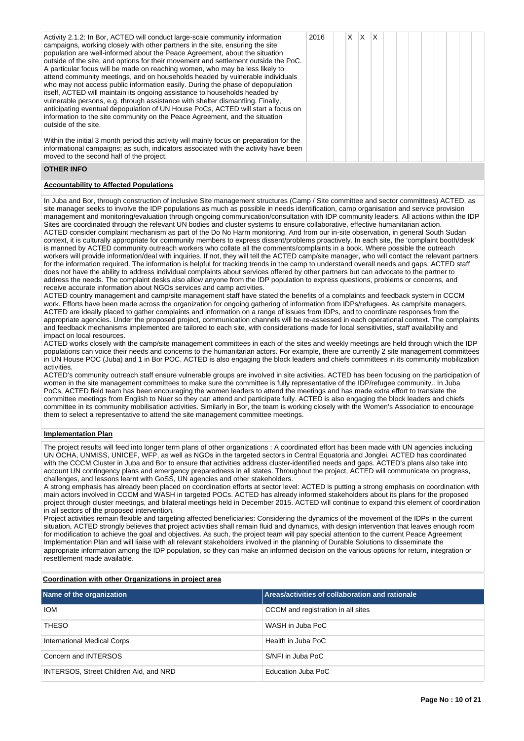| Activity 2.1.2: In Bor, ACTED will conduct large-scale community information<br>campaigns, working closely with other partners in the site, ensuring the site<br>population are well-informed about the Peace Agreement, about the situation<br>outside of the site, and options for their movement and settlement outside the PoC.<br>A particular focus will be made on reaching women, who may be less likely to<br>attend community meetings, and on households headed by vulnerable individuals<br>who may not access public information easily. During the phase of depopulation<br>itself, ACTED will maintain its ongoing assistance to households headed by<br>vulnerable persons, e.g. through assistance with shelter dismantling. Finally,<br>anticipating eventual depopulation of UN House PoCs, ACTED will start a focus on<br>information to the site community on the Peace Agreement, and the situation<br>outside of the site. | 2016 | x. | X | ΙX |  |  |  |  |
|---------------------------------------------------------------------------------------------------------------------------------------------------------------------------------------------------------------------------------------------------------------------------------------------------------------------------------------------------------------------------------------------------------------------------------------------------------------------------------------------------------------------------------------------------------------------------------------------------------------------------------------------------------------------------------------------------------------------------------------------------------------------------------------------------------------------------------------------------------------------------------------------------------------------------------------------------|------|----|---|----|--|--|--|--|
| Within the initial 3 month period this activity will mainly focus on preparation for the<br>informational campaigns; as such, indicators associated with the activity have been<br>moved to the second half of the project.                                                                                                                                                                                                                                                                                                                                                                                                                                                                                                                                                                                                                                                                                                                       |      |    |   |    |  |  |  |  |

#### **OTHER INFO**

#### **Accountability to Affected Populations**

In Juba and Bor, through construction of inclusive Site management structures (Camp / Site committee and sector committees) ACTED, as site manager seeks to involve the IDP populations as much as possible in needs identification, camp organisation and service provision management and monitoring/evaluation through ongoing communication/consultation with IDP community leaders. All actions within the IDP Sites are coordinated through the relevant UN bodies and cluster systems to ensure collaborative, effective humanitarian action. ACTED consider complaint mechanism as part of the Do No Harm monitoring. And from our in-site observation, in general South Sudan context, it is culturally appropriate for community members to express dissent/problems proactively. In each site, the 'complaint booth/desk' is manned by ACTED community outreach workers who collate all the comments/complaints in a book. Where possible the outreach workers will provide information/deal with inquiries. If not, they will tell the ACTED camp/site manager, who will contact the relevant partners for the information required. The information is helpful for tracking trends in the camp to understand overall needs and gaps. ACTED staff does not have the ability to address individual complaints about services offered by other partners but can advocate to the partner to address the needs. The complaint desks also allow anyone from the IDP population to express questions, problems or concerns, and receive accurate information about NGOs services and camp activities.

ACTED country management and camp/site management staff have stated the benefits of a complaints and feedback system in CCCM work. Efforts have been made across the organization for ongoing gathering of information from IDPs/refugees. As camp/site managers, ACTED are ideally placed to gather complaints and information on a range of issues from IDPs, and to coordinate responses from the appropriate agencies. Under the proposed project, communication channels will be re-assessed in each operational context. The complaints and feedback mechanisms implemented are tailored to each site, with considerations made for local sensitivities, staff availability and impact on local resources.

ACTED works closely with the camp/site management committees in each of the sites and weekly meetings are held through which the IDP populations can voice their needs and concerns to the humanitarian actors. For example, there are currently 2 site management committees in UN House POC (Juba) and 1 in Bor POC. ACTED is also engaging the block leaders and chiefs committees in its community mobilization activities.

ACTED's community outreach staff ensure vulnerable groups are involved in site activities. ACTED has been focusing on the participation of women in the site management committees to make sure the committee is fully representative of the IDP/refugee community.. In Juba PoCs, ACTED field team has been encouraging the women leaders to attend the meetings and has made extra effort to translate the committee meetings from English to Nuer so they can attend and participate fully. ACTED is also engaging the block leaders and chiefs committee in its community mobilisation activities. Similarly in Bor, the team is working closely with the Women's Association to encourage them to select a representative to attend the site management committee meetings.

#### **Implementation Plan**

The project results will feed into longer term plans of other organizations : A coordinated effort has been made with UN agencies including UN OCHA, UNMISS, UNICEF, WFP, as well as NGOs in the targeted sectors in Central Equatoria and Jonglei. ACTED has coordinated with the CCCM Cluster in Juba and Bor to ensure that activities address cluster-identified needs and gaps. ACTED's plans also take into account UN contingency plans and emergency preparedness in all states. Throughout the project, ACTED will communicate on progress, challenges, and lessons learnt with GoSS, UN agencies and other stakeholders.

A strong emphasis has already been placed on coordination efforts at sector level: ACTED is putting a strong emphasis on coordination with main actors involved in CCCM and WASH in targeted POCs. ACTED has already informed stakeholders about its plans for the proposed project through cluster meetings, and bilateral meetings held in December 2015. ACTED will continue to expand this element of coordination in all sectors of the proposed intervention.

Project activities remain flexible and targeting affected beneficiaries: Considering the dynamics of the movement of the IDPs in the current situation, ACTED strongly believes that project activities shall remain fluid and dynamics, with design intervention that leaves enough room for modification to achieve the goal and objectives. As such, the project team will pay special attention to the current Peace Agreement Implementation Plan and will liaise with all relevant stakeholders involved in the planning of Durable Solutions to disseminate the appropriate information among the IDP population, so they can make an informed decision on the various options for return, integration or resettlement made available.

#### **Coordination with other Organizations in project area**

| Name of the organization               | Areas/activities of collaboration and rationale |
|----------------------------------------|-------------------------------------------------|
| <b>IOM</b>                             | CCCM and registration in all sites              |
| <b>THESO</b>                           | WASH in Juba PoC                                |
| International Medical Corps            | Health in Juba PoC                              |
| Concern and INTERSOS                   | S/NFI in Juba PoC                               |
| INTERSOS, Street Children Aid, and NRD | Education Juba PoC                              |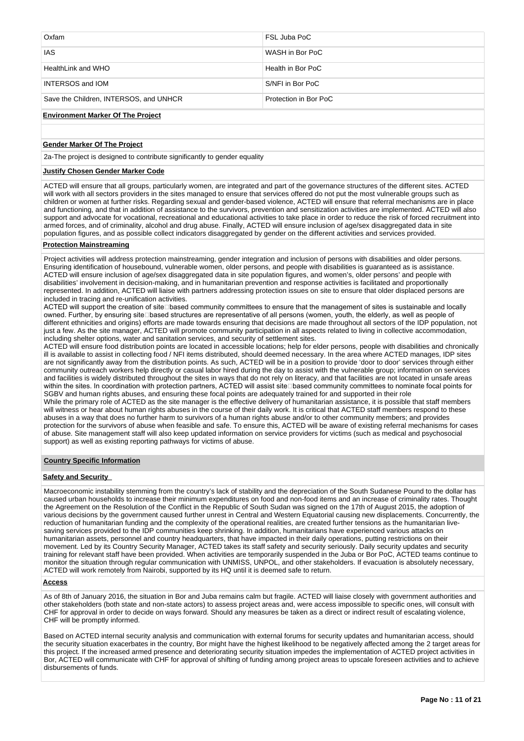| Oxfam                                  | FSL Juba PoC          |
|----------------------------------------|-----------------------|
| <b>IAS</b>                             | WASH in Bor PoC       |
| HealthLink and WHO                     | Health in Bor PoC     |
| <b>INTERSOS and IOM</b>                | S/NFI in Bor PoC      |
| Save the Children, INTERSOS, and UNHCR | Protection in Bor PoC |

#### **Environment Marker Of The Project**

### **Gender Marker Of The Project**

2a-The project is designed to contribute significantly to gender equality

#### **Justify Chosen Gender Marker Code**

ACTED will ensure that all groups, particularly women, are integrated and part of the governance structures of the different sites. ACTED will work with all sectors providers in the sites managed to ensure that services offered do not put the most vulnerable groups such as children or women at further risks. Regarding sexual and gender-based violence, ACTED will ensure that referral mechanisms are in place and functioning, and that in addition of assistance to the survivors, prevention and sensitization activities are implemented. ACTED will also support and advocate for vocational, recreational and educational activities to take place in order to reduce the risk of forced recruitment into armed forces, and of criminality, alcohol and drug abuse. Finally, ACTED will ensure inclusion of age/sex disaggregated data in site population figures, and as possible collect indicators disaggregated by gender on the different activities and services provided.

### **Protection Mainstreaming**

Project activities will address protection mainstreaming, gender integration and inclusion of persons with disabilities and older persons. Ensuring identification of housebound, vulnerable women, older persons, and people with disabilities is guaranteed as is assistance. ACTED will ensure inclusion of age/sex disaggregated data in site population figures, and women's, older persons' and people with disabilities' involvement in decision-making, and in humanitarian prevention and response activities is facilitated and proportionally represented. In addition, ACTED will liaise with partners addressing protection issues on site to ensure that older displaced persons are included in tracing and re-unification activities.

ACTED will support the creation of site Dased community committees to ensure that the management of sites is sustainable and locally owned. Further, by ensuring site based structures are representative of all persons (women, youth, the elderly, as well as people of different ethnicities and origins) efforts are made towards ensuring that decisions are made throughout all sectors of the IDP population, not just a few. As the site manager, ACTED will promote community participation in all aspects related to living in collective accommodation, including shelter options, water and sanitation services, and security of settlement sites.

ACTED will ensure food distribution points are located in accessible locations; help for elder persons, people with disabilities and chronically ill is available to assist in collecting food / NFI items distributed, should deemed necessary. In the area where ACTED manages, IDP sites are not significantly away from the distribution points. As such, ACTED will be in a position to provide 'door to door' services through either community outreach workers help directly or casual labor hired during the day to assist with the vulnerable group; information on services and facilities is widely distributed throughout the sites in ways that do not rely on literacy, and that facilities are not located in unsafe areas within the sites. In coordination with protection partners, ACTED will assist site based community committees to nominate focal points for SGBV and human rights abuses, and ensuring these focal points are adequately trained for and supported in their role While the primary role of ACTED as the site manager is the effective delivery of humanitarian assistance, it is possible that staff members will witness or hear about human rights abuses in the course of their daily work. It is critical that ACTED staff members respond to these abuses in a way that does no further harm to survivors of a human rights abuse and/or to other community members; and provides protection for the survivors of abuse when feasible and safe. To ensure this, ACTED will be aware of existing referral mechanisms for cases of abuse. Site management staff will also keep updated information on service providers for victims (such as medical and psychosocial support) as well as existing reporting pathways for victims of abuse.

#### **Country Specific Information**

### **Safety and Security**

Macroeconomic instability stemming from the country's lack of stability and the depreciation of the South Sudanese Pound to the dollar has caused urban households to increase their minimum expenditures on food and non-food items and an increase of criminality rates. Thought the Agreement on the Resolution of the Conflict in the Republic of South Sudan was signed on the 17th of August 2015, the adoption of various decisions by the government caused further unrest in Central and Western Equatorial causing new displacements. Concurrently, the reduction of humanitarian funding and the complexity of the operational realities, are created further tensions as the humanitarian livesaving services provided to the IDP communities keep shrinking. In addition, humanitarians have experienced various attacks on humanitarian assets, personnel and country headquarters, that have impacted in their daily operations, putting restrictions on their movement. Led by its Country Security Manager, ACTED takes its staff safety and security seriously. Daily security updates and security training for relevant staff have been provided. When activities are temporarily suspended in the Juba or Bor PoC, ACTED teams continue to monitor the situation through regular communication with UNMISS, UNPOL, and other stakeholders. If evacuation is absolutely necessary, ACTED will work remotely from Nairobi, supported by its HQ until it is deemed safe to return.

#### **Access**

As of 8th of January 2016, the situation in Bor and Juba remains calm but fragile. ACTED will liaise closely with government authorities and other stakeholders (both state and non-state actors) to assess project areas and, were access impossible to specific ones, will consult with CHF for approval in order to decide on ways forward. Should any measures be taken as a direct or indirect result of escalating violence, CHF will be promptly informed.

Based on ACTED internal security analysis and communication with external forums for security updates and humanitarian access, should the security situation exacerbates in the country, Bor might have the highest likelihood to be negatively affected among the 2 target areas for this project. If the increased armed presence and deteriorating security situation impedes the implementation of ACTED project activities in Bor, ACTED will communicate with CHF for approval of shifting of funding among project areas to upscale foreseen activities and to achieve disbursements of funds.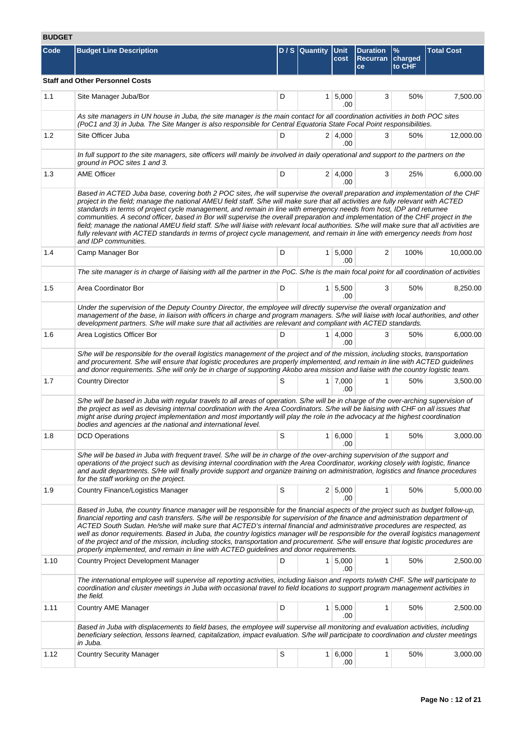# **BUDGET**

| ⊔טטט |                                                                                                                                                                                                                                                                                                                                                                                                                                                                                                                                                                                                                                                                                                                                                                                                                                   |     |                     |                             |                                          |                           |                   |
|------|-----------------------------------------------------------------------------------------------------------------------------------------------------------------------------------------------------------------------------------------------------------------------------------------------------------------------------------------------------------------------------------------------------------------------------------------------------------------------------------------------------------------------------------------------------------------------------------------------------------------------------------------------------------------------------------------------------------------------------------------------------------------------------------------------------------------------------------|-----|---------------------|-----------------------------|------------------------------------------|---------------------------|-------------------|
| Code | <b>Budget Line Description</b>                                                                                                                                                                                                                                                                                                                                                                                                                                                                                                                                                                                                                                                                                                                                                                                                    |     | D / S Quantity Unit | cost                        | <b>Duration</b><br><b>Recurran</b><br>ce | $\%$<br>charged<br>to CHF | <b>Total Cost</b> |
|      | <b>Staff and Other Personnel Costs</b>                                                                                                                                                                                                                                                                                                                                                                                                                                                                                                                                                                                                                                                                                                                                                                                            |     |                     |                             |                                          |                           |                   |
| 1.1  | Site Manager Juba/Bor                                                                                                                                                                                                                                                                                                                                                                                                                                                                                                                                                                                                                                                                                                                                                                                                             | D   |                     | $1 \, 5,000$<br>.00         | 3                                        | 50%                       | 7,500.00          |
|      | As site managers in UN house in Juba, the site manager is the main contact for all coordination activities in both POC sites<br>(PoC1 and 3) in Juba. The Site Manger is also responsible for Central Equatoria State Focal Point responsibilities.                                                                                                                                                                                                                                                                                                                                                                                                                                                                                                                                                                               |     |                     |                             |                                          |                           |                   |
| 1.2  | Site Officer Juba                                                                                                                                                                                                                                                                                                                                                                                                                                                                                                                                                                                                                                                                                                                                                                                                                 | D   |                     | 2 4,000<br>.00              | 3                                        | 50%                       | 12,000.00         |
|      | In full support to the site managers, site officers will mainly be involved in daily operational and support to the partners on the<br>ground in POC sites 1 and 3.                                                                                                                                                                                                                                                                                                                                                                                                                                                                                                                                                                                                                                                               |     |                     |                             |                                          |                           |                   |
| 1.3  | <b>AME Officer</b>                                                                                                                                                                                                                                                                                                                                                                                                                                                                                                                                                                                                                                                                                                                                                                                                                | D   |                     | 2 4,000<br>.00              | 3                                        | 25%                       | 6,000.00          |
|      | Based in ACTED Juba base, covering both 2 POC sites, /he will supervise the overall preparation and implementation of the CHF<br>project in the field; manage the national AMEU field staff. S/he will make sure that all activities are fully relevant with ACTED<br>standards in terms of project cycle management, and remain in line with emergency needs from host, IDP and returnee<br>communities. A second officer, based in Bor will supervise the overall preparation and implementation of the CHF project in the<br>field; manage the national AMEU field staff. S/he will liaise with relevant local authorities. S/he will make sure that all activities are<br>fully relevant with ACTED standards in terms of project cycle management, and remain in line with emergency needs from host<br>and IDP communities. |     |                     |                             |                                          |                           |                   |
| 1.4  | Camp Manager Bor                                                                                                                                                                                                                                                                                                                                                                                                                                                                                                                                                                                                                                                                                                                                                                                                                  | D   |                     | $1 \, 5,000$<br>.00         | 2                                        | 100%                      | 10,000.00         |
|      | The site manager is in charge of liaising with all the partner in the PoC. S/he is the main focal point for all coordination of activities                                                                                                                                                                                                                                                                                                                                                                                                                                                                                                                                                                                                                                                                                        |     |                     |                             |                                          |                           |                   |
| 1.5  | Area Coordinator Bor                                                                                                                                                                                                                                                                                                                                                                                                                                                                                                                                                                                                                                                                                                                                                                                                              | D   |                     | $1 \overline{5,500}$<br>.00 | 3                                        | 50%                       | 8,250.00          |
|      | Under the supervision of the Deputy Country Director, the employee will directly supervise the overall organization and<br>management of the base, in liaison with officers in charge and program managers. S/he will liaise with local authorities, and other<br>development partners. S/he will make sure that all activities are relevant and compliant with ACTED standards.                                                                                                                                                                                                                                                                                                                                                                                                                                                  |     |                     |                             |                                          |                           |                   |
| 1.6  | Area Logistics Officer Bor                                                                                                                                                                                                                                                                                                                                                                                                                                                                                                                                                                                                                                                                                                                                                                                                        | D   |                     | $1 \, 4,000$<br>.00         | 3                                        | 50%                       | 6,000.00          |
|      | S/he will be responsible for the overall logistics management of the project and of the mission, including stocks, transportation<br>and procurement. S/he will ensure that logistic procedures are properly implemented, and remain in line with ACTED guidelines<br>and donor requirements. S/he will only be in charge of supporting Akobo area mission and liaise with the country logistic team.                                                                                                                                                                                                                                                                                                                                                                                                                             |     |                     |                             |                                          |                           |                   |
| 1.7  | <b>Country Director</b>                                                                                                                                                                                                                                                                                                                                                                                                                                                                                                                                                                                                                                                                                                                                                                                                           | S   |                     | $1 \mid 7,000$<br>.00       | $\mathbf{1}$                             | 50%                       | 3,500.00          |
|      | S/he will be based in Juba with regular travels to all areas of operation. S/he will be in charge of the over-arching supervision of<br>the project as well as devising internal coordination with the Area Coordinators. S/he will be liaising with CHF on all issues that<br>might arise during project implementation and most importantly will play the role in the advocacy at the highest coordination<br>bodies and agencies at the national and international level.                                                                                                                                                                                                                                                                                                                                                      |     |                     |                             |                                          |                           |                   |
| 1.8  | <b>DCD Operations</b>                                                                                                                                                                                                                                                                                                                                                                                                                                                                                                                                                                                                                                                                                                                                                                                                             | l s | 1                   | 6,000 <br>.00               | 1                                        | 50%                       | 3,000.00          |
|      | S/he will be based in Juba with frequent travel. S/he will be in charge of the over-arching supervision of the support and<br>operations of the project such as devising internal coordination with the Area Coordinator, working closely with logistic, finance<br>and audit departments. S/He will finally provide support and organize training on administration, logistics and finance procedures<br>for the staff working on the project.                                                                                                                                                                                                                                                                                                                                                                                   |     |                     |                             |                                          |                           |                   |
| 1.9  | Country Finance/Logistics Manager                                                                                                                                                                                                                                                                                                                                                                                                                                                                                                                                                                                                                                                                                                                                                                                                 | S   |                     | 2   5,000<br>.00            | 1                                        | 50%                       | 5,000.00          |
|      | Based in Juba, the country finance manager will be responsible for the financial aspects of the project such as budget follow-up,<br>financial reporting and cash transfers. S/he will be responsible for supervision of the finance and administration department of<br>ACTED South Sudan. He/she will make sure that ACTED's internal financial and administrative procedures are respected, as<br>well as donor requirements. Based in Juba, the country logistics manager will be responsible for the overall logistics management<br>of the project and of the mission, including stocks, transportation and procurement. S/he will ensure that logistic procedures are<br>properly implemented, and remain in line with ACTED guidelines and donor requirements.                                                            |     |                     |                             |                                          |                           |                   |
| 1.10 | Country Project Development Manager                                                                                                                                                                                                                                                                                                                                                                                                                                                                                                                                                                                                                                                                                                                                                                                               | D   |                     | $1 \, 5,000$<br>.00         | $\mathbf{1}$                             | 50%                       | 2,500.00          |
|      | The international employee will supervise all reporting activities, including liaison and reports to/with CHF. S/he will participate to<br>coordination and cluster meetings in Juba with occasional travel to field locations to support program management activities in<br>the field.                                                                                                                                                                                                                                                                                                                                                                                                                                                                                                                                          |     |                     |                             |                                          |                           |                   |
| 1.11 | Country AME Manager                                                                                                                                                                                                                                                                                                                                                                                                                                                                                                                                                                                                                                                                                                                                                                                                               | D   |                     | $1 \mid 5,000$<br>.00       | $\mathbf{1}$                             | 50%                       | 2,500.00          |
|      | Based in Juba with displacements to field bases, the employee will supervise all monitoring and evaluation activities, including<br>beneficiary selection, lessons learned, capitalization, impact evaluation. S/he will participate to coordination and cluster meetings<br>in Juba.                                                                                                                                                                                                                                                                                                                                                                                                                                                                                                                                             |     |                     |                             |                                          |                           |                   |
| 1.12 | <b>Country Security Manager</b>                                                                                                                                                                                                                                                                                                                                                                                                                                                                                                                                                                                                                                                                                                                                                                                                   | S   |                     | 1   6,000<br>.00            | 1                                        | 50%                       | 3,000.00          |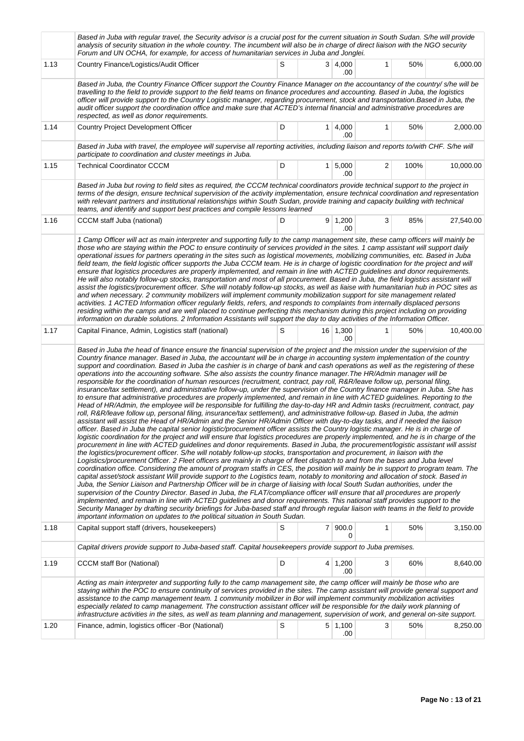|      | Based in Juba with regular travel, the Security advisor is a crucial post for the current situation in South Sudan. S/he will provide<br>analysis of security situation in the whole country. The incumbent will also be in charge of direct liaison with the NGO security<br>Forum and UN OCHA, for example, for access of humanitarian services in Juba and Jonglei.                                                                                                                                                                                                                                                                                                                                                                                                                                                                                                                                                                                                                                                                                                                                                                                                                                                                                                                                                                                                                                                                                                                                                                                                                                                                                                                                                                                                                                                                                                                                                                                                                                                                                                                                                                                                                                                                                                                                                                                                                                                                                                                                                                                                                                                                                                                                                                                                                                                                                                                                 |   |                |                       |              |      |           |  |  |  |  |
|------|--------------------------------------------------------------------------------------------------------------------------------------------------------------------------------------------------------------------------------------------------------------------------------------------------------------------------------------------------------------------------------------------------------------------------------------------------------------------------------------------------------------------------------------------------------------------------------------------------------------------------------------------------------------------------------------------------------------------------------------------------------------------------------------------------------------------------------------------------------------------------------------------------------------------------------------------------------------------------------------------------------------------------------------------------------------------------------------------------------------------------------------------------------------------------------------------------------------------------------------------------------------------------------------------------------------------------------------------------------------------------------------------------------------------------------------------------------------------------------------------------------------------------------------------------------------------------------------------------------------------------------------------------------------------------------------------------------------------------------------------------------------------------------------------------------------------------------------------------------------------------------------------------------------------------------------------------------------------------------------------------------------------------------------------------------------------------------------------------------------------------------------------------------------------------------------------------------------------------------------------------------------------------------------------------------------------------------------------------------------------------------------------------------------------------------------------------------------------------------------------------------------------------------------------------------------------------------------------------------------------------------------------------------------------------------------------------------------------------------------------------------------------------------------------------------------------------------------------------------------------------------------------------------|---|----------------|-----------------------|--------------|------|-----------|--|--|--|--|
| 1.13 | Country Finance/Logistics/Audit Officer                                                                                                                                                                                                                                                                                                                                                                                                                                                                                                                                                                                                                                                                                                                                                                                                                                                                                                                                                                                                                                                                                                                                                                                                                                                                                                                                                                                                                                                                                                                                                                                                                                                                                                                                                                                                                                                                                                                                                                                                                                                                                                                                                                                                                                                                                                                                                                                                                                                                                                                                                                                                                                                                                                                                                                                                                                                                | S |                | 3   4,000<br>.00      | 1            | 50%  | 6,000.00  |  |  |  |  |
|      | Based in Juba, the Country Finance Officer support the Country Finance Manager on the accountancy of the country/ s/he will be<br>travelling to the field to provide support to the field teams on finance procedures and accounting. Based in Juba, the logistics<br>officer will provide support to the Country Logistic manager, regarding procurement, stock and transportation. Based in Juba, the<br>audit officer support the coordination office and make sure that ACTED's internal financial and administrative procedures are<br>respected, as well as donor requirements.                                                                                                                                                                                                                                                                                                                                                                                                                                                                                                                                                                                                                                                                                                                                                                                                                                                                                                                                                                                                                                                                                                                                                                                                                                                                                                                                                                                                                                                                                                                                                                                                                                                                                                                                                                                                                                                                                                                                                                                                                                                                                                                                                                                                                                                                                                                  |   |                |                       |              |      |           |  |  |  |  |
| 1.14 | Country Project Development Officer                                                                                                                                                                                                                                                                                                                                                                                                                                                                                                                                                                                                                                                                                                                                                                                                                                                                                                                                                                                                                                                                                                                                                                                                                                                                                                                                                                                                                                                                                                                                                                                                                                                                                                                                                                                                                                                                                                                                                                                                                                                                                                                                                                                                                                                                                                                                                                                                                                                                                                                                                                                                                                                                                                                                                                                                                                                                    | D |                | $1 \mid 4,000$<br>.00 | 1            | 50%  | 2,000.00  |  |  |  |  |
|      | Based in Juba with travel, the employee will supervise all reporting activities, including liaison and reports to/with CHF. S/he will<br>participate to coordination and cluster meetings in Juba.                                                                                                                                                                                                                                                                                                                                                                                                                                                                                                                                                                                                                                                                                                                                                                                                                                                                                                                                                                                                                                                                                                                                                                                                                                                                                                                                                                                                                                                                                                                                                                                                                                                                                                                                                                                                                                                                                                                                                                                                                                                                                                                                                                                                                                                                                                                                                                                                                                                                                                                                                                                                                                                                                                     |   |                |                       |              |      |           |  |  |  |  |
| 1.15 | <b>Technical Coordinator CCCM</b>                                                                                                                                                                                                                                                                                                                                                                                                                                                                                                                                                                                                                                                                                                                                                                                                                                                                                                                                                                                                                                                                                                                                                                                                                                                                                                                                                                                                                                                                                                                                                                                                                                                                                                                                                                                                                                                                                                                                                                                                                                                                                                                                                                                                                                                                                                                                                                                                                                                                                                                                                                                                                                                                                                                                                                                                                                                                      | D | 1 <sup>1</sup> | 5,000<br>.00          | 2            | 100% | 10,000.00 |  |  |  |  |
|      | Based in Juba but roving to field sites as required, the CCCM technical coordinators provide technical support to the project in<br>terms of the design, ensure technical supervision of the activity implementation, ensure technical coordination and representation<br>with relevant partners and institutional relationships within South Sudan, provide training and capacity building with technical<br>teams, and identify and support best practices and compile lessons learned                                                                                                                                                                                                                                                                                                                                                                                                                                                                                                                                                                                                                                                                                                                                                                                                                                                                                                                                                                                                                                                                                                                                                                                                                                                                                                                                                                                                                                                                                                                                                                                                                                                                                                                                                                                                                                                                                                                                                                                                                                                                                                                                                                                                                                                                                                                                                                                                               |   |                |                       |              |      |           |  |  |  |  |
| 1.16 | CCCM staff Juba (national)                                                                                                                                                                                                                                                                                                                                                                                                                                                                                                                                                                                                                                                                                                                                                                                                                                                                                                                                                                                                                                                                                                                                                                                                                                                                                                                                                                                                                                                                                                                                                                                                                                                                                                                                                                                                                                                                                                                                                                                                                                                                                                                                                                                                                                                                                                                                                                                                                                                                                                                                                                                                                                                                                                                                                                                                                                                                             | D |                | 9 1,200<br>.00        | 3            | 85%  | 27,540.00 |  |  |  |  |
|      | those who are staying within the POC to ensure continuity of services provided in the sites. 1 camp assistant will support daily<br>operational issues for partners operating in the sites such as logistical movements, mobilizing communities, etc. Based in Juba<br>field team, the field logistic officer supports the Juba CCCM team. He is in charge of logistic coordination for the project and will<br>ensure that logistics procedures are properly implemented, and remain in line with ACTED guidelines and donor requirements.<br>He will also notably follow-up stocks, transportation and most of all procurement. Based in Juba, the field logistics assistant will<br>assist the logistics/procurement officer. S/he will notably follow-up stocks, as well as liaise with humanitarian hub in POC sites as<br>and when necessary. 2 community mobilizers will implement community mobilization support for site management related<br>activities. 1 ACTED Information officer regularly fields, refers, and responds to complaints from internally displaced persons<br>residing within the camps and are well placed to continue perfecting this mechanism during this project including on providing<br>information on durable solutions. 2 Information Assistants will support the day to day activities of the Information Officer.                                                                                                                                                                                                                                                                                                                                                                                                                                                                                                                                                                                                                                                                                                                                                                                                                                                                                                                                                                                                                                                                                                                                                                                                                                                                                                                                                                                                                                                                                                                                              |   |                |                       |              |      |           |  |  |  |  |
| 1.17 | Capital Finance, Admin, Logistics staff (national)                                                                                                                                                                                                                                                                                                                                                                                                                                                                                                                                                                                                                                                                                                                                                                                                                                                                                                                                                                                                                                                                                                                                                                                                                                                                                                                                                                                                                                                                                                                                                                                                                                                                                                                                                                                                                                                                                                                                                                                                                                                                                                                                                                                                                                                                                                                                                                                                                                                                                                                                                                                                                                                                                                                                                                                                                                                     | S |                | $16$ 1,300<br>.00     | $\mathbf{1}$ | 50%  | 10,400.00 |  |  |  |  |
|      | Based in Juba the head of finance ensure the financial supervision of the project and the mission under the supervision of the<br>Country finance manager. Based in Juba, the accountant will be in charge in accounting system implementation of the country<br>support and coordination. Based in Juba the cashier is in charge of bank and cash operations as well as the registering of these<br>operations into the accounting software. S/he also assists the country finance manager. The HR/Admin manager will be<br>responsible for the coordination of human resources (recruitment, contract, pay roll, R&R/leave follow up, personal filing,<br>insurance/tax settlement), and administrative follow-up, under the supervision of the Country finance manager in Juba. She has<br>to ensure that administrative procedures are properly implemented, and remain in line with ACTED guidelines. Reporting to the<br>Head of HR/Admin, the employee will be responsible for fulfilling the day-to-day HR and Admin tasks (recruitment, contract, pay<br>roll, R&R/leave follow up, personal filing, insurance/tax settlement), and administrative follow-up. Based in Juba, the admin<br>assistant will assist the Head of HR/Admin and the Senior HR/Admin Officer with day-to-day tasks, and if needed the liaison<br>officer. Based in Juba the capital senior logistic/procurement officer assists the Country logistic manager. He is in charge of<br>logistic coordination for the project and will ensure that logistics procedures are properly implemented, and he is in charge of the<br>procurement in line with ACTED quidelines and donor requirements. Based in Juba, the procurement/logistic assistant will assist<br>the logistics/procurement officer. S/he will notably follow-up stocks, transportation and procurement, in liaison with the<br>Logistics/procurement Officer. 2 Fleet officers are mainly in charge of fleet dispatch to and from the bases and Juba level<br>coordination office. Considering the amount of program staffs in CES, the position will mainly be in support to program team. The<br>capital asset/stock assistant Will provide support to the Logistics team, notably to monitoring and allocation of stock. Based in<br>Juba, the Senior Liaison and Partnership Officer will be in charge of liaising with local South Sudan authorities, under the<br>supervision of the Country Director. Based in Juba, the FLAT/compliance officer will ensure that all procedures are properly<br>implemented, and remain in line with ACTED guidelines and donor requirements. This national staff provides support to the<br>Security Manager by drafting security briefings for Juba-based staff and through regular liaison with teams in the field to provide<br>important information on updates to the political situation in South Sudan. |   |                |                       |              |      |           |  |  |  |  |
| 1.18 | Capital support staff (drivers, housekeepers)                                                                                                                                                                                                                                                                                                                                                                                                                                                                                                                                                                                                                                                                                                                                                                                                                                                                                                                                                                                                                                                                                                                                                                                                                                                                                                                                                                                                                                                                                                                                                                                                                                                                                                                                                                                                                                                                                                                                                                                                                                                                                                                                                                                                                                                                                                                                                                                                                                                                                                                                                                                                                                                                                                                                                                                                                                                          | S |                | 7 900.0<br>0          | 1            | 50%  | 3,150.00  |  |  |  |  |
|      | Capital drivers provide support to Juba-based staff. Capital housekeepers provide support to Juba premises.                                                                                                                                                                                                                                                                                                                                                                                                                                                                                                                                                                                                                                                                                                                                                                                                                                                                                                                                                                                                                                                                                                                                                                                                                                                                                                                                                                                                                                                                                                                                                                                                                                                                                                                                                                                                                                                                                                                                                                                                                                                                                                                                                                                                                                                                                                                                                                                                                                                                                                                                                                                                                                                                                                                                                                                            |   |                |                       |              |      |           |  |  |  |  |
| 1.19 | <b>CCCM</b> staff Bor (National)                                                                                                                                                                                                                                                                                                                                                                                                                                                                                                                                                                                                                                                                                                                                                                                                                                                                                                                                                                                                                                                                                                                                                                                                                                                                                                                                                                                                                                                                                                                                                                                                                                                                                                                                                                                                                                                                                                                                                                                                                                                                                                                                                                                                                                                                                                                                                                                                                                                                                                                                                                                                                                                                                                                                                                                                                                                                       | D |                | $4 \mid 1,200$<br>.00 | 3            | 60%  | 8,640.00  |  |  |  |  |
|      | Acting as main interpreter and supporting fully to the camp management site, the camp officer will mainly be those who are<br>staying within the POC to ensure continuity of services provided in the sites. The camp assistant will provide general support and<br>assistance to the camp management team. 1 community mobilizer in Bor will implement community mobilization activities<br>especially related to camp management. The construction assistant officer will be responsible for the daily work planning of<br>infrastructure activities in the sites, as well as team planning and management, supervision of work, and general on-site support.                                                                                                                                                                                                                                                                                                                                                                                                                                                                                                                                                                                                                                                                                                                                                                                                                                                                                                                                                                                                                                                                                                                                                                                                                                                                                                                                                                                                                                                                                                                                                                                                                                                                                                                                                                                                                                                                                                                                                                                                                                                                                                                                                                                                                                        |   |                |                       |              |      |           |  |  |  |  |
| 1.20 | Finance, admin, logistics officer -Bor (National)                                                                                                                                                                                                                                                                                                                                                                                                                                                                                                                                                                                                                                                                                                                                                                                                                                                                                                                                                                                                                                                                                                                                                                                                                                                                                                                                                                                                                                                                                                                                                                                                                                                                                                                                                                                                                                                                                                                                                                                                                                                                                                                                                                                                                                                                                                                                                                                                                                                                                                                                                                                                                                                                                                                                                                                                                                                      | S |                | 5 1,100<br>.00        | 3            | 50%  | 8,250.00  |  |  |  |  |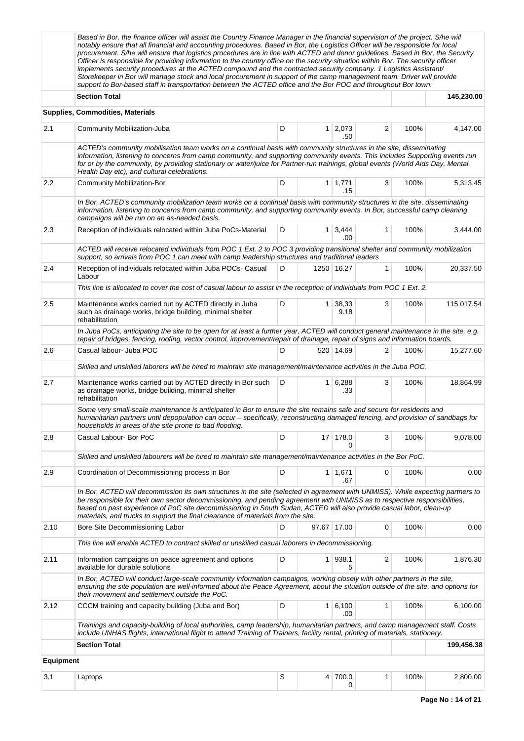|                  | Based in Bor, the finance officer will assist the Country Finance Manager in the financial supervision of the project. S/he will<br>notably ensure that all financial and accounting procedures. Based in Bor, the Logistics Officer will be responsible for local<br>procurement. S/he will ensure that logistics procedures are in line with ACTED and donor guidelines. Based in Bor, the Security<br>Officer is responsible for providing information to the country office on the security situation within Bor. The security officer<br>implements security procedures at the ACTED compound and the contracted security company. 1 Logistics Assistant/<br>Storekeeper in Bor will manage stock and local procurement in support of the camp management team. Driver will provide<br>support to Bor-based staff in transportation between the ACTED office and the Bor POC and throughout Bor town. |      |                |                       |   |      |            |  |  |  |
|------------------|------------------------------------------------------------------------------------------------------------------------------------------------------------------------------------------------------------------------------------------------------------------------------------------------------------------------------------------------------------------------------------------------------------------------------------------------------------------------------------------------------------------------------------------------------------------------------------------------------------------------------------------------------------------------------------------------------------------------------------------------------------------------------------------------------------------------------------------------------------------------------------------------------------|------|----------------|-----------------------|---|------|------------|--|--|--|
|                  | <b>Section Total</b>                                                                                                                                                                                                                                                                                                                                                                                                                                                                                                                                                                                                                                                                                                                                                                                                                                                                                       |      |                |                       |   |      | 145,230.00 |  |  |  |
|                  | <b>Supplies, Commodities, Materials</b>                                                                                                                                                                                                                                                                                                                                                                                                                                                                                                                                                                                                                                                                                                                                                                                                                                                                    |      |                |                       |   |      |            |  |  |  |
| 2.1              | Community Mobilization-Juba                                                                                                                                                                                                                                                                                                                                                                                                                                                                                                                                                                                                                                                                                                                                                                                                                                                                                | D    | $\mathbf{1}$   | 2,073<br>.50          | 2 | 100% | 4,147.00   |  |  |  |
|                  | ACTED's community mobilisation team works on a continual basis with community structures in the site, disseminating<br>information, listening to concerns from camp community, and supporting community events. This includes Supporting events run<br>for or by the community, by providing stationary or water/juice for Partner-run trainings, global events (World Aids Day, Mental<br>Health Day etc), and cultural celebrations.                                                                                                                                                                                                                                                                                                                                                                                                                                                                     |      |                |                       |   |      |            |  |  |  |
| $2.2\,$          | <b>Community Mobilization-Bor</b>                                                                                                                                                                                                                                                                                                                                                                                                                                                                                                                                                                                                                                                                                                                                                                                                                                                                          | D    |                | $1 \mid 1,771$<br>.15 | 3 | 100% | 5,313.45   |  |  |  |
|                  | In Bor, ACTED's community mobilization team works on a continual basis with community structures in the site, disseminating<br>information, listening to concerns from camp community, and supporting community events. In Bor, successful camp cleaning<br>campaigns will be run on an as-needed basis.                                                                                                                                                                                                                                                                                                                                                                                                                                                                                                                                                                                                   |      |                |                       |   |      |            |  |  |  |
| 2.3              | Reception of individuals relocated within Juba PoCs-Material                                                                                                                                                                                                                                                                                                                                                                                                                                                                                                                                                                                                                                                                                                                                                                                                                                               | 100% | 3,444.00       |                       |   |      |            |  |  |  |
|                  | ACTED will receive relocated individuals from POC 1 Ext. 2 to POC 3 providing transitional shelter and community mobilization<br>support, so arrivals from POC 1 can meet with camp leadership structures and traditional leaders                                                                                                                                                                                                                                                                                                                                                                                                                                                                                                                                                                                                                                                                          |      |                |                       |   |      |            |  |  |  |
| 2.4              | Reception of individuals relocated within Juba POCs- Casual<br>Labour                                                                                                                                                                                                                                                                                                                                                                                                                                                                                                                                                                                                                                                                                                                                                                                                                                      | 100% | 20,337.50      |                       |   |      |            |  |  |  |
|                  | This line is allocated to cover the cost of casual labour to assist in the reception of individuals from POC 1 Ext. 2.                                                                                                                                                                                                                                                                                                                                                                                                                                                                                                                                                                                                                                                                                                                                                                                     |      |                |                       |   |      |            |  |  |  |
| 2.5              | Maintenance works carried out by ACTED directly in Juba<br>such as drainage works, bridge building, minimal shelter<br>rehabilitation                                                                                                                                                                                                                                                                                                                                                                                                                                                                                                                                                                                                                                                                                                                                                                      | 100% | 115,017.54     |                       |   |      |            |  |  |  |
|                  | In Juba PoCs, anticipating the site to be open for at least a further year, ACTED will conduct general maintenance in the site, e.g.<br>repair of bridges, fencing, roofing, vector control, improvement/repair of drainage, repair of signs and information boards.                                                                                                                                                                                                                                                                                                                                                                                                                                                                                                                                                                                                                                       |      |                |                       |   |      |            |  |  |  |
| 2.6              | Casual labour- Juba POC                                                                                                                                                                                                                                                                                                                                                                                                                                                                                                                                                                                                                                                                                                                                                                                                                                                                                    | 100% | 15,277.60      |                       |   |      |            |  |  |  |
|                  | Skilled and unskilled laborers will be hired to maintain site management/maintenance activities in the Juba POC.                                                                                                                                                                                                                                                                                                                                                                                                                                                                                                                                                                                                                                                                                                                                                                                           |      |                |                       |   |      |            |  |  |  |
| 2.7              | Maintenance works carried out by ACTED directly in Bor such<br>as drainage works, bridge building, minimal shelter<br>rehabilitation                                                                                                                                                                                                                                                                                                                                                                                                                                                                                                                                                                                                                                                                                                                                                                       | D    | $\mathbf{1}$   | 6,288<br>.33          | 3 | 100% | 18,864.99  |  |  |  |
|                  | Some very small-scale maintenance is anticipated in Bor to ensure the site remains safe and secure for residents and<br>humanitarian partners until depopulation can occur – specifically, reconstructing damaged fencing, and provision of sandbags for<br>households in areas of the site prone to bad flooding.                                                                                                                                                                                                                                                                                                                                                                                                                                                                                                                                                                                         |      |                |                       |   |      |            |  |  |  |
| 2.8              | Casual Labour- Bor PoC                                                                                                                                                                                                                                                                                                                                                                                                                                                                                                                                                                                                                                                                                                                                                                                                                                                                                     | D    |                | 17 178.0<br>0         | 3 | 100% | 9,078.00   |  |  |  |
|                  | Skilled and unskilled labourers will be hired to maintain site management/maintenance activities in the Bor PoC.                                                                                                                                                                                                                                                                                                                                                                                                                                                                                                                                                                                                                                                                                                                                                                                           |      |                |                       |   |      |            |  |  |  |
| 2.9              | Coordination of Decommissioning process in Bor                                                                                                                                                                                                                                                                                                                                                                                                                                                                                                                                                                                                                                                                                                                                                                                                                                                             | D    |                | $1 \mid 1,671$<br>.67 | 0 | 100% | 0.00       |  |  |  |
|                  | In Bor, ACTED will decommission its own structures in the site (selected in agreement with UNMISS). While expecting partners to<br>be responsible for their own sector decommissioning, and pending agreement with UNMISS as to respective responsibilities,<br>based on past experience of PoC site decommissioning in South Sudan, ACTED will also provide casual labor, clean-up<br>materials, and trucks to support the final clearance of materials from the site.                                                                                                                                                                                                                                                                                                                                                                                                                                    |      |                |                       |   |      |            |  |  |  |
| 2.10             | Bore Site Decommissioning Labor                                                                                                                                                                                                                                                                                                                                                                                                                                                                                                                                                                                                                                                                                                                                                                                                                                                                            | D    |                | 97.67 17.00           | 0 | 100% | 0.00       |  |  |  |
|                  | This line will enable ACTED to contract skilled or unskilled casual laborers in decommissioning.                                                                                                                                                                                                                                                                                                                                                                                                                                                                                                                                                                                                                                                                                                                                                                                                           |      |                |                       |   |      |            |  |  |  |
| 2.11             | Information campaigns on peace agreement and options<br>available for durable solutions                                                                                                                                                                                                                                                                                                                                                                                                                                                                                                                                                                                                                                                                                                                                                                                                                    | D    | 1 <sup>1</sup> | 938.1<br>5            | 2 | 100% | 1,876.30   |  |  |  |
|                  | In Bor, ACTED will conduct large-scale community information campaigns, working closely with other partners in the site,<br>ensuring the site population are well-informed about the Peace Agreement, about the situation outside of the site, and options for<br>their movement and settlement outside the PoC.                                                                                                                                                                                                                                                                                                                                                                                                                                                                                                                                                                                           |      |                |                       |   |      |            |  |  |  |
| 2.12             | CCCM training and capacity building (Juba and Bor)                                                                                                                                                                                                                                                                                                                                                                                                                                                                                                                                                                                                                                                                                                                                                                                                                                                         | D    | $\mathbf{1}$   | 6,100<br>.00          | 1 | 100% | 6,100.00   |  |  |  |
|                  | Trainings and capacity-building of local authorities, camp leadership, humanitarian partners, and camp management staff. Costs<br>include UNHAS flights, international flight to attend Training of Trainers, facility rental, printing of materials, stationery.                                                                                                                                                                                                                                                                                                                                                                                                                                                                                                                                                                                                                                          |      |                |                       |   |      |            |  |  |  |
|                  | <b>Section Total</b>                                                                                                                                                                                                                                                                                                                                                                                                                                                                                                                                                                                                                                                                                                                                                                                                                                                                                       |      |                |                       |   |      | 199,456.38 |  |  |  |
| <b>Equipment</b> |                                                                                                                                                                                                                                                                                                                                                                                                                                                                                                                                                                                                                                                                                                                                                                                                                                                                                                            |      |                |                       |   |      |            |  |  |  |
| 3.1              | Laptops                                                                                                                                                                                                                                                                                                                                                                                                                                                                                                                                                                                                                                                                                                                                                                                                                                                                                                    | S    | 4              | 700.0<br>0            | 1 | 100% | 2,800.00   |  |  |  |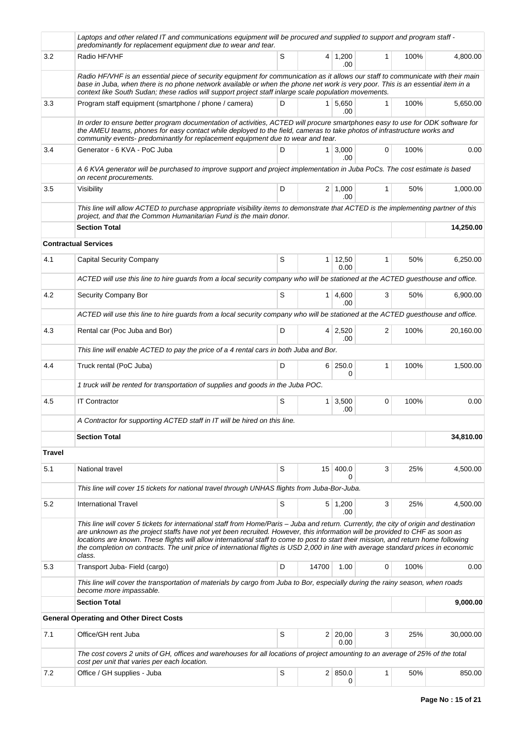|               | Laptops and other related IT and communications equipment will be procured and supplied to support and program staff -<br>predominantly for replacement equipment due to wear and tear.                                                                                                                                                                                                                                                                                                                                                                       |   |                 |                        |              |      |           |
|---------------|---------------------------------------------------------------------------------------------------------------------------------------------------------------------------------------------------------------------------------------------------------------------------------------------------------------------------------------------------------------------------------------------------------------------------------------------------------------------------------------------------------------------------------------------------------------|---|-----------------|------------------------|--------------|------|-----------|
| 3.2           | Radio HF/VHF                                                                                                                                                                                                                                                                                                                                                                                                                                                                                                                                                  | S |                 | $4 \mid 1,200$<br>.00  | $\mathbf{1}$ | 100% | 4.800.00  |
|               | Radio HF/VHF is an essential piece of security equipment for communication as it allows our staff to communicate with their main<br>base in Juba, when there is no phone network available or when the phone net work is very poor. This is an essential item in a<br>context like South Sudan; these radios will support project staff inlarge scale population movements.                                                                                                                                                                                   |   |                 |                        |              |      |           |
| 3.3           | Program staff equipment (smartphone / phone / camera)                                                                                                                                                                                                                                                                                                                                                                                                                                                                                                         | D |                 | 1 5,650<br>.00         | $\mathbf{1}$ | 100% | 5,650.00  |
|               | In order to ensure better program documentation of activities, ACTED will procure smartphones easy to use for ODK software for<br>the AMEU teams, phones for easy contact while deployed to the field, cameras to take photos of infrastructure works and<br>community events- predominantly for replacement equipment due to wear and tear.                                                                                                                                                                                                                  |   |                 |                        |              |      |           |
| 3.4           | Generator - 6 KVA - PoC Juba                                                                                                                                                                                                                                                                                                                                                                                                                                                                                                                                  | D | 1 <sup>1</sup>  | 3,000<br>.00           | 0            | 100% | 0.00      |
|               | A 6 KVA generator will be purchased to improve support and project implementation in Juba PoCs. The cost estimate is based<br>on recent procurements.                                                                                                                                                                                                                                                                                                                                                                                                         |   |                 |                        |              |      |           |
| 3.5           | Visibility                                                                                                                                                                                                                                                                                                                                                                                                                                                                                                                                                    | D |                 | $2 \mid 1,000$<br>.00  | $\mathbf{1}$ | 50%  | 1,000.00  |
|               | This line will allow ACTED to purchase appropriate visibility items to demonstrate that ACTED is the implementing partner of this<br>project, and that the Common Humanitarian Fund is the main donor.                                                                                                                                                                                                                                                                                                                                                        |   |                 |                        |              |      |           |
|               | <b>Section Total</b>                                                                                                                                                                                                                                                                                                                                                                                                                                                                                                                                          |   |                 |                        |              |      | 14,250.00 |
|               | <b>Contractual Services</b>                                                                                                                                                                                                                                                                                                                                                                                                                                                                                                                                   |   |                 |                        |              |      |           |
| 4.1           | <b>Capital Security Company</b>                                                                                                                                                                                                                                                                                                                                                                                                                                                                                                                               | S |                 | $1 \mid 12,50$<br>0.00 | 1            | 50%  | 6,250.00  |
|               | ACTED will use this line to hire guards from a local security company who will be stationed at the ACTED guesthouse and office.                                                                                                                                                                                                                                                                                                                                                                                                                               |   |                 |                        |              |      |           |
| 4.2           | Security Company Bor                                                                                                                                                                                                                                                                                                                                                                                                                                                                                                                                          | S | 1 <sup>1</sup>  | 4,600<br>.00           | 3            | 50%  | 6,900.00  |
|               | ACTED will use this line to hire guards from a local security company who will be stationed at the ACTED guesthouse and office.                                                                                                                                                                                                                                                                                                                                                                                                                               |   |                 |                        |              |      |           |
| 4.3           | Rental car (Poc Juba and Bor)                                                                                                                                                                                                                                                                                                                                                                                                                                                                                                                                 | D | 4 <sup>1</sup>  | 2,520<br>.00           | 2            | 100% | 20,160.00 |
|               | This line will enable ACTED to pay the price of a 4 rental cars in both Juba and Bor.                                                                                                                                                                                                                                                                                                                                                                                                                                                                         |   |                 |                        |              |      |           |
| 4.4           | Truck rental (PoC Juba)                                                                                                                                                                                                                                                                                                                                                                                                                                                                                                                                       | D |                 | 6 250.0<br>0           | $\mathbf{1}$ | 100% | 1,500.00  |
|               | 1 truck will be rented for transportation of supplies and goods in the Juba POC.                                                                                                                                                                                                                                                                                                                                                                                                                                                                              |   |                 |                        |              |      |           |
| 4.5           | <b>IT Contractor</b>                                                                                                                                                                                                                                                                                                                                                                                                                                                                                                                                          | S | 1               | 3,500<br>.00           | 0            | 100% | 0.00      |
|               | A Contractor for supporting ACTED staff in IT will be hired on this line.                                                                                                                                                                                                                                                                                                                                                                                                                                                                                     |   |                 |                        |              |      |           |
|               | <b>Section Total</b>                                                                                                                                                                                                                                                                                                                                                                                                                                                                                                                                          |   |                 |                        |              |      | 34,810.00 |
| <b>Travel</b> |                                                                                                                                                                                                                                                                                                                                                                                                                                                                                                                                                               |   |                 |                        |              |      |           |
| 5.1           | National travel                                                                                                                                                                                                                                                                                                                                                                                                                                                                                                                                               | S | 15 <sup>1</sup> | 400.0                  | 3            | 25%  | 4,500.00  |
|               | This line will cover 15 tickets for national travel through UNHAS flights from Juba-Bor-Juba.                                                                                                                                                                                                                                                                                                                                                                                                                                                                 |   |                 |                        |              |      |           |
| 5.2           | <b>International Travel</b>                                                                                                                                                                                                                                                                                                                                                                                                                                                                                                                                   | S |                 | $5 \mid 1,200$<br>.00  | 3            | 25%  | 4,500.00  |
|               | This line will cover 5 tickets for international staff from Home/Paris - Juba and return. Currently, the city of origin and destination<br>are unknown as the project staffs have not yet been recruited. However, this information will be provided to CHF as soon as<br>locations are known. These flights will allow international staff to come to post to start their mission, and return home following<br>the completion on contracts. The unit price of international flights is USD 2,000 in line with average standard prices in economic<br>class. |   |                 |                        |              |      |           |
| 5.3           | Transport Juba- Field (cargo)                                                                                                                                                                                                                                                                                                                                                                                                                                                                                                                                 | D | 14700           | 1.00                   | 0            | 100% | 0.00      |
|               | This line will cover the transportation of materials by cargo from Juba to Bor, especially during the rainy season, when roads<br>become more impassable.                                                                                                                                                                                                                                                                                                                                                                                                     |   |                 |                        |              |      |           |
|               | <b>Section Total</b>                                                                                                                                                                                                                                                                                                                                                                                                                                                                                                                                          |   |                 |                        |              |      | 9,000.00  |
|               | <b>General Operating and Other Direct Costs</b>                                                                                                                                                                                                                                                                                                                                                                                                                                                                                                               |   |                 |                        |              |      |           |
| 7.1           | Office/GH rent Juba                                                                                                                                                                                                                                                                                                                                                                                                                                                                                                                                           | S |                 | 2 20,00<br>0.00        | 3            | 25%  | 30,000.00 |
|               | The cost covers 2 units of GH, offices and warehouses for all locations of project amounting to an average of 25% of the total<br>cost per unit that varies per each location.                                                                                                                                                                                                                                                                                                                                                                                |   |                 |                        |              |      |           |
| 7.2           | Office / GH supplies - Juba                                                                                                                                                                                                                                                                                                                                                                                                                                                                                                                                   | S |                 | 2   850.0<br>$\Omega$  | 1            | 50%  | 850.00    |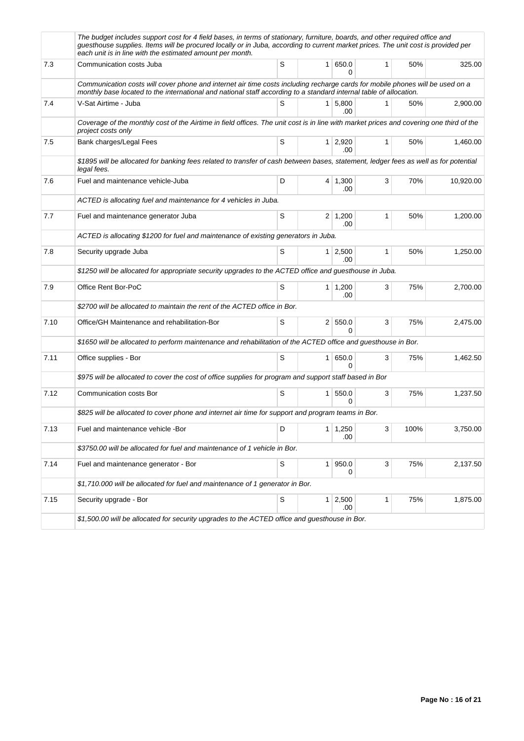|      | The budget includes support cost for 4 field bases, in terms of stationary, furniture, boards, and other required office and<br>guesthouse supplies. Items will be procured locally or in Juba, according to current market prices. The unit cost is provided per<br>each unit is in line with the estimated amount per month. |   |                       |              |      |           |
|------|--------------------------------------------------------------------------------------------------------------------------------------------------------------------------------------------------------------------------------------------------------------------------------------------------------------------------------|---|-----------------------|--------------|------|-----------|
| 7.3  | Communication costs Juba                                                                                                                                                                                                                                                                                                       | S | 1 650.0<br>$\Omega$   | $\mathbf{1}$ | 50%  | 325.00    |
|      | Communication costs will cover phone and internet air time costs including recharge cards for mobile phones will be used on a<br>monthly base located to the international and national staff according to a standard internal table of allocation.                                                                            |   |                       |              |      |           |
| 7.4  | V-Sat Airtime - Juba                                                                                                                                                                                                                                                                                                           | S | 1 5,800<br>.00.       | 1            | 50%  | 2,900.00  |
|      | Coverage of the monthly cost of the Airtime in field offices. The unit cost is in line with market prices and covering one third of the<br>project costs only                                                                                                                                                                  |   |                       |              |      |           |
| 7.5  | Bank charges/Legal Fees                                                                                                                                                                                                                                                                                                        | S | 1 2,920<br>.00        | $\mathbf{1}$ | 50%  | 1,460.00  |
|      | \$1895 will be allocated for banking fees related to transfer of cash between bases, statement, ledger fees as well as for potential<br>legal fees.                                                                                                                                                                            |   |                       |              |      |           |
| 7.6  | Fuel and maintenance vehicle-Juba                                                                                                                                                                                                                                                                                              | D | $4 \mid 1,300$<br>.00 | 3            | 70%  | 10,920.00 |
|      | ACTED is allocating fuel and maintenance for 4 vehicles in Juba.                                                                                                                                                                                                                                                               |   |                       |              |      |           |
| 7.7  | Fuel and maintenance generator Juba                                                                                                                                                                                                                                                                                            | S | $2 \mid 1,200$<br>.00 | 1            | 50%  | 1,200.00  |
|      | ACTED is allocating \$1200 for fuel and maintenance of existing generators in Juba.                                                                                                                                                                                                                                            |   |                       |              |      |           |
| 7.8  | Security upgrade Juba                                                                                                                                                                                                                                                                                                          | S | $1 \mid 2,500$<br>.00 | 1            | 50%  | 1,250.00  |
|      | \$1250 will be allocated for appropriate security upgrades to the ACTED office and guesthouse in Juba.                                                                                                                                                                                                                         |   |                       |              |      |           |
| 7.9  | Office Rent Bor-PoC                                                                                                                                                                                                                                                                                                            | S | $1 \mid 1,200$<br>.00 | 3            | 75%  | 2,700.00  |
|      | \$2700 will be allocated to maintain the rent of the ACTED office in Bor.                                                                                                                                                                                                                                                      |   |                       |              |      |           |
| 7.10 | Office/GH Maintenance and rehabilitation-Bor                                                                                                                                                                                                                                                                                   | S | 2   550.0<br>$\Omega$ | 3            | 75%  | 2,475.00  |
|      | \$1650 will be allocated to perform maintenance and rehabilitation of the ACTED office and guesthouse in Bor.                                                                                                                                                                                                                  |   |                       |              |      |           |
| 7.11 | Office supplies - Bor                                                                                                                                                                                                                                                                                                          | S | 1 650.0<br>$\Omega$   | 3            | 75%  | 1,462.50  |
|      | \$975 will be allocated to cover the cost of office supplies for program and support staff based in Bor                                                                                                                                                                                                                        |   |                       |              |      |           |
| 7.12 | Communication costs Bor                                                                                                                                                                                                                                                                                                        | S | 1   550.0<br>$\Omega$ | 3            | 75%  | 1,237.50  |
|      | \$825 will be allocated to cover phone and internet air time for support and program teams in Bor.                                                                                                                                                                                                                             |   |                       |              |      |           |
| 7.13 | Fuel and maintenance vehicle -Bor                                                                                                                                                                                                                                                                                              | D | $1 \mid 1,250$<br>.00 | 3            | 100% | 3,750.00  |
|      | \$3750.00 will be allocated for fuel and maintenance of 1 vehicle in Bor.                                                                                                                                                                                                                                                      |   |                       |              |      |           |
| 7.14 | Fuel and maintenance generator - Bor                                                                                                                                                                                                                                                                                           | S | 1 950.0<br>0          | 3            | 75%  | 2,137.50  |
|      | \$1,710.000 will be allocated for fuel and maintenance of 1 generator in Bor.                                                                                                                                                                                                                                                  |   |                       |              |      |           |
| 7.15 | Security upgrade - Bor                                                                                                                                                                                                                                                                                                         | S | 1 2,500<br>.00.       | $\mathbf{1}$ | 75%  | 1,875.00  |
|      | \$1,500.00 will be allocated for security upgrades to the ACTED office and guesthouse in Bor.                                                                                                                                                                                                                                  |   |                       |              |      |           |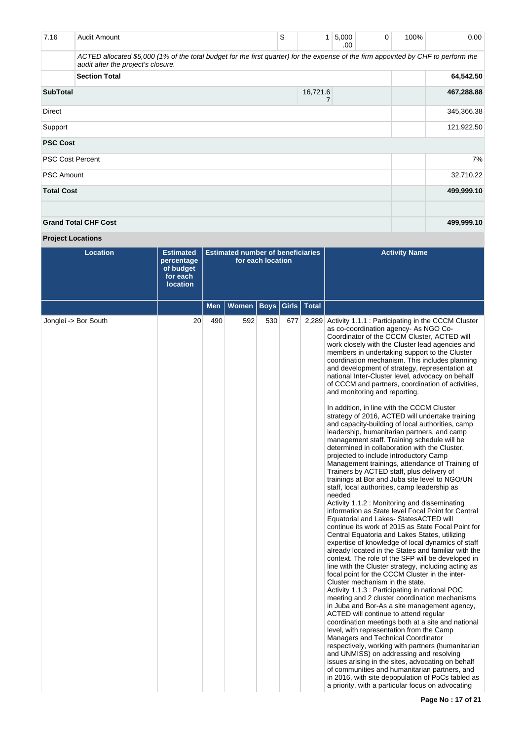| 7.16              | Audit Amount                                                                                                                                                             | S          | 1        | 5,000<br>.00 | 0 | 100% | 0.00       |
|-------------------|--------------------------------------------------------------------------------------------------------------------------------------------------------------------------|------------|----------|--------------|---|------|------------|
|                   | ACTED allocated \$5,000 (1% of the total budget for the first quarter) for the expense of the firm appointed by CHF to perform the<br>audit after the project's closure. |            |          |              |   |      |            |
|                   | <b>Section Total</b>                                                                                                                                                     |            |          |              |   |      | 64,542.50  |
| <b>SubTotal</b>   |                                                                                                                                                                          |            | 16,721.6 |              |   |      | 467,288.88 |
| Direct            |                                                                                                                                                                          |            |          |              |   |      | 345,366.38 |
| Support           |                                                                                                                                                                          | 121,922.50 |          |              |   |      |            |
| <b>PSC Cost</b>   |                                                                                                                                                                          |            |          |              |   |      |            |
|                   | <b>PSC Cost Percent</b>                                                                                                                                                  |            |          |              |   |      | 7%         |
| <b>PSC Amount</b> |                                                                                                                                                                          |            |          |              |   |      | 32,710.22  |
| <b>Total Cost</b> |                                                                                                                                                                          |            |          |              |   |      | 499,999.10 |
|                   |                                                                                                                                                                          |            |          |              |   |      |            |
|                   | <b>Grand Total CHF Cost</b>                                                                                                                                              |            |          |              |   |      | 499,999.10 |

# **Project Locations**

| <b>Location</b>      | <b>Estimated</b><br>percentage<br>of budget<br>for each<br><b>location</b> |            | <b>Estimated number of beneficiaries</b> | for each location |     |               | <b>Activity Name</b>                                                                                                                                                                                                                                                                                                                                                                                                                                                                                                                                                                                                                                                                                                                                                                                                                                                                                                                                                                                                                                                                                                                                                                                                                                                                                                                                                                                                                                                                                                                                                                                                                                                                                                                                                                                                                                                                                                                                                                                                                                                                                                                                                                                                                                                           |
|----------------------|----------------------------------------------------------------------------|------------|------------------------------------------|-------------------|-----|---------------|--------------------------------------------------------------------------------------------------------------------------------------------------------------------------------------------------------------------------------------------------------------------------------------------------------------------------------------------------------------------------------------------------------------------------------------------------------------------------------------------------------------------------------------------------------------------------------------------------------------------------------------------------------------------------------------------------------------------------------------------------------------------------------------------------------------------------------------------------------------------------------------------------------------------------------------------------------------------------------------------------------------------------------------------------------------------------------------------------------------------------------------------------------------------------------------------------------------------------------------------------------------------------------------------------------------------------------------------------------------------------------------------------------------------------------------------------------------------------------------------------------------------------------------------------------------------------------------------------------------------------------------------------------------------------------------------------------------------------------------------------------------------------------------------------------------------------------------------------------------------------------------------------------------------------------------------------------------------------------------------------------------------------------------------------------------------------------------------------------------------------------------------------------------------------------------------------------------------------------------------------------------------------------|
|                      |                                                                            | <b>Men</b> | <b>Women</b>                             | <b>Boys</b>       |     | Girls   Total |                                                                                                                                                                                                                                                                                                                                                                                                                                                                                                                                                                                                                                                                                                                                                                                                                                                                                                                                                                                                                                                                                                                                                                                                                                                                                                                                                                                                                                                                                                                                                                                                                                                                                                                                                                                                                                                                                                                                                                                                                                                                                                                                                                                                                                                                                |
| Jonglei -> Bor South | 20                                                                         | 490        | 592                                      | 530               | 677 | 2,289         | Activity 1.1.1 : Participating in the CCCM Cluster<br>as co-coordination agency- As NGO Co-<br>Coordinator of the CCCM Cluster, ACTED will<br>work closely with the Cluster lead agencies and<br>members in undertaking support to the Cluster<br>coordination mechanism. This includes planning<br>and development of strategy, representation at<br>national Inter-Cluster level, advocacy on behalf<br>of CCCM and partners, coordination of activities,<br>and monitoring and reporting.<br>In addition, in line with the CCCM Cluster<br>strategy of 2016, ACTED will undertake training<br>and capacity-building of local authorities, camp<br>leadership, humanitarian partners, and camp<br>management staff. Training schedule will be<br>determined in collaboration with the Cluster,<br>projected to include introductory Camp<br>Management trainings, attendance of Training of<br>Trainers by ACTED staff, plus delivery of<br>trainings at Bor and Juba site level to NGO/UN<br>staff, local authorities, camp leadership as<br>needed<br>Activity 1.1.2 : Monitoring and disseminating<br>information as State level Focal Point for Central<br>Equatorial and Lakes- StatesACTED will<br>continue its work of 2015 as State Focal Point for<br>Central Equatoria and Lakes States, utilizing<br>expertise of knowledge of local dynamics of staff<br>already located in the States and familiar with the<br>context. The role of the SFP will be developed in<br>line with the Cluster strategy, including acting as<br>focal point for the CCCM Cluster in the inter-<br>Cluster mechanism in the state.<br>Activity 1.1.3 : Participating in national POC<br>meeting and 2 cluster coordination mechanisms<br>in Juba and Bor-As a site management agency,<br>ACTED will continue to attend regular<br>coordination meetings both at a site and national<br>level, with representation from the Camp<br>Managers and Technical Coordinator<br>respectively, working with partners (humanitarian<br>and UNMISS) on addressing and resolving<br>issues arising in the sites, advocating on behalf<br>of communities and humanitarian partners, and<br>in 2016, with site depopulation of PoCs tabled as<br>a priority, with a particular focus on advocating |
|                      |                                                                            |            |                                          |                   |     |               |                                                                                                                                                                                                                                                                                                                                                                                                                                                                                                                                                                                                                                                                                                                                                                                                                                                                                                                                                                                                                                                                                                                                                                                                                                                                                                                                                                                                                                                                                                                                                                                                                                                                                                                                                                                                                                                                                                                                                                                                                                                                                                                                                                                                                                                                                |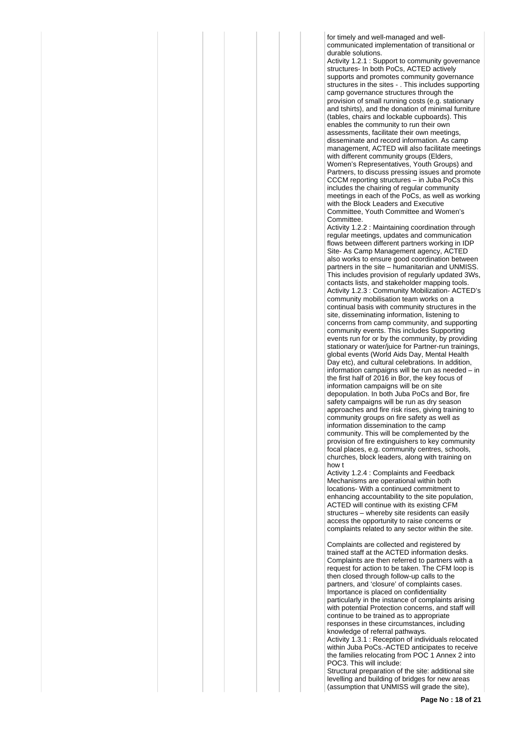for timely and well-managed and wellcommunicated implementation of transitional or durable solutions.

Activity 1.2.1 : Support to community governance structures- In both PoCs, ACTED actively supports and promotes community governance structures in the sites - . This includes supporting camp governance structures through the provision of small running costs (e.g. stationary and tshirts), and the donation of minimal furniture (tables, chairs and lockable cupboards). This enables the community to run their own assessments, facilitate their own meetings, disseminate and record information. As camp management, ACTED will also facilitate meetings with different community groups (Elders, Women's Representatives, Youth Groups) and Partners, to discuss pressing issues and promote CCCM reporting structures – in Juba PoCs this includes the chairing of regular community meetings in each of the PoCs, as well as working with the Block Leaders and Executive Committee, Youth Committee and Women's Committee.

Activity 1.2.2 : Maintaining coordination through regular meetings, updates and communication flows between different partners working in IDP Site- As Camp Management agency, ACTED also works to ensure good coordination between partners in the site – humanitarian and UNMISS. This includes provision of regularly updated 3Ws, contacts lists, and stakeholder mapping tools. Activity 1.2.3 : Community Mobilization- ACTED's community mobilisation team works on a continual basis with community structures in the site, disseminating information, listening to concerns from camp community, and supporting community events. This includes Supporting events run for or by the community, by providing stationary or water/juice for Partner-run trainings, global events (World Aids Day, Mental Health Day etc), and cultural celebrations. In addition, information campaigns will be run as needed – in information campaigns will be run as needed the first half of 2016 in Bor, the key focus of information campaigns will be on site depopulation. In both Juba PoCs and Bor, fire safety campaigns will be run as dry season approaches and fire risk rises, giving training to community groups on fire safety as well as information dissemination to the camp community. This will be complemented by the provision of fire extinguishers to key community focal places, e.g. community centres, schools, churches, block leaders, along with training on how t

Activity 1.2.4 : Complaints and Feedback Mechanisms are operational within both locations- With a continued commitment to enhancing accountability to the site population, ACTED will continue with its existing CFM structures – whereby site residents can easily access the opportunity to raise concerns or complaints related to any sector within the site.

Complaints are collected and registered by trained staff at the ACTED information desks. Complaints are then referred to partners with a request for action to be taken. The CFM loop is then closed through follow-up calls to the partners, and 'closure' of complaints cases. Importance is placed on confidentiality particularly in the instance of complaints arising with potential Protection concerns, and staff will continue to be trained as to appropriate responses in these circumstances, including knowledge of referral pathways.

Activity 1.3.1 : Reception of individuals relocated within Juba PoCs.-ACTED anticipates to receive the families relocating from POC 1 Annex 2 into POC3. This will include:

Structural preparation of the site: additional site levelling and building of bridges for new areas (assumption that UNMISS will grade the site),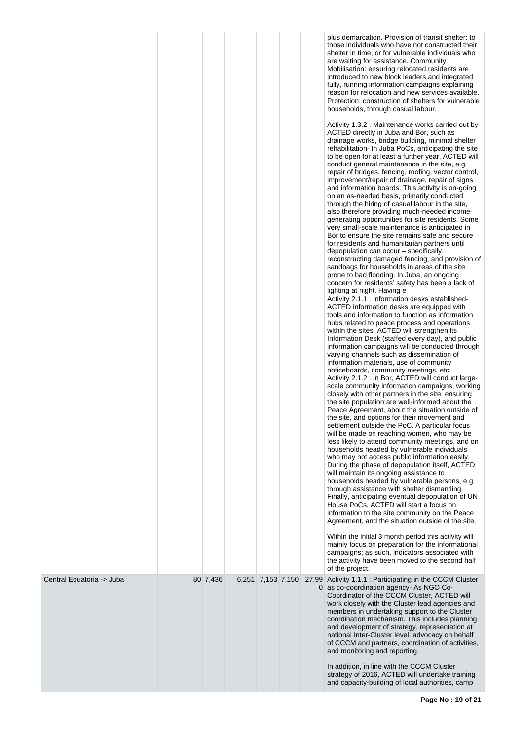|                           |          |                   |            | plus demarcation. Provision of transit shelter: to<br>those individuals who have not constructed their<br>shelter in time, or for vulnerable individuals who<br>are waiting for assistance. Community<br>Mobilisation: ensuring relocated residents are<br>introduced to new block leaders and integrated<br>fully, running information campaigns explaining<br>reason for relocation and new services available.<br>Protection: construction of shelters for vulnerable<br>households, through casual labour.<br>Activity 1.3.2 : Maintenance works carried out by<br>ACTED directly in Juba and Bor, such as<br>drainage works, bridge building, minimal shelter<br>rehabilitation- In Juba PoCs, anticipating the site<br>to be open for at least a further year, ACTED will<br>conduct general maintenance in the site, e.g.<br>repair of bridges, fencing, roofing, vector control,<br>improvement/repair of drainage, repair of signs<br>and information boards. This activity is on-going<br>on an as-needed basis, primarily conducted<br>through the hiring of casual labour in the site,<br>also therefore providing much-needed income-<br>generating opportunities for site residents. Some<br>very small-scale maintenance is anticipated in<br>Bor to ensure the site remains safe and secure<br>for residents and humanitarian partners until<br>depopulation can occur – specifically,<br>reconstructing damaged fencing, and provision of<br>sandbags for households in areas of the site<br>prone to bad flooding. In Juba, an ongoing<br>concern for residents' safety has been a lack of<br>lighting at night. Having e<br>Activity 2.1.1 : Information desks established-<br>ACTED information desks are equipped with<br>tools and information to function as information<br>hubs related to peace process and operations<br>within the sites. ACTED will strengthen its<br>Information Desk (staffed every day), and public<br>information campaigns will be conducted through<br>varying channels such as dissemination of<br>information materials, use of community<br>noticeboards, community meetings, etc.<br>Activity 2.1.2 : In Bor, ACTED will conduct large-<br>scale community information campaigns, working<br>closely with other partners in the site, ensuring<br>the site population are well-informed about the<br>Peace Agreement, about the situation outside of<br>the site, and options for their movement and<br>settlement outside the PoC. A particular focus<br>will be made on reaching women, who may be<br>less likely to attend community meetings, and on<br>households headed by vulnerable individuals<br>who may not access public information easily.<br>During the phase of depopulation itself, ACTED<br>will maintain its ongoing assistance to<br>households headed by vulnerable persons, e.g.<br>through assistance with shelter dismantling.<br>Finally, anticipating eventual depopulation of UN<br>House PoCs, ACTED will start a focus on<br>information to the site community on the Peace<br>Agreement, and the situation outside of the site.<br>Within the initial 3 month period this activity will<br>mainly focus on preparation for the informational<br>campaigns; as such, indicators associated with<br>the activity have been moved to the second half<br>of the project. |
|---------------------------|----------|-------------------|------------|----------------------------------------------------------------------------------------------------------------------------------------------------------------------------------------------------------------------------------------------------------------------------------------------------------------------------------------------------------------------------------------------------------------------------------------------------------------------------------------------------------------------------------------------------------------------------------------------------------------------------------------------------------------------------------------------------------------------------------------------------------------------------------------------------------------------------------------------------------------------------------------------------------------------------------------------------------------------------------------------------------------------------------------------------------------------------------------------------------------------------------------------------------------------------------------------------------------------------------------------------------------------------------------------------------------------------------------------------------------------------------------------------------------------------------------------------------------------------------------------------------------------------------------------------------------------------------------------------------------------------------------------------------------------------------------------------------------------------------------------------------------------------------------------------------------------------------------------------------------------------------------------------------------------------------------------------------------------------------------------------------------------------------------------------------------------------------------------------------------------------------------------------------------------------------------------------------------------------------------------------------------------------------------------------------------------------------------------------------------------------------------------------------------------------------------------------------------------------------------------------------------------------------------------------------------------------------------------------------------------------------------------------------------------------------------------------------------------------------------------------------------------------------------------------------------------------------------------------------------------------------------------------------------------------------------------------------------------------------------------------------------------------------------------------------------------------------------------------------------------------------------------------------------------------------------------------------------------------------------------------------------------------------------------------------------------------------------------------------|
| Central Equatoria -> Juba | 80 7,436 | 6,251 7,153 7,150 | 27,99<br>0 | Activity 1.1.1: Participating in the CCCM Cluster<br>as co-coordination agency- As NGO Co-<br>Coordinator of the CCCM Cluster, ACTED will<br>work closely with the Cluster lead agencies and<br>members in undertaking support to the Cluster<br>coordination mechanism. This includes planning<br>and development of strategy, representation at<br>national Inter-Cluster level, advocacy on behalf<br>of CCCM and partners, coordination of activities,<br>and monitoring and reporting.<br>In addition, in line with the CCCM Cluster                                                                                                                                                                                                                                                                                                                                                                                                                                                                                                                                                                                                                                                                                                                                                                                                                                                                                                                                                                                                                                                                                                                                                                                                                                                                                                                                                                                                                                                                                                                                                                                                                                                                                                                                                                                                                                                                                                                                                                                                                                                                                                                                                                                                                                                                                                                                                                                                                                                                                                                                                                                                                                                                                                                                                                                                                |
|                           |          |                   |            | strategy of 2016, ACTED will undertake training<br>and capacity-building of local authorities, camp                                                                                                                                                                                                                                                                                                                                                                                                                                                                                                                                                                                                                                                                                                                                                                                                                                                                                                                                                                                                                                                                                                                                                                                                                                                                                                                                                                                                                                                                                                                                                                                                                                                                                                                                                                                                                                                                                                                                                                                                                                                                                                                                                                                                                                                                                                                                                                                                                                                                                                                                                                                                                                                                                                                                                                                                                                                                                                                                                                                                                                                                                                                                                                                                                                                      |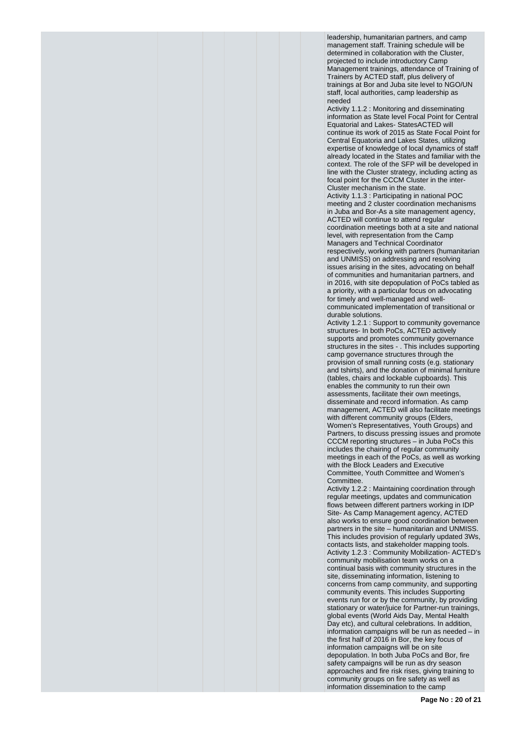leadership, humanitarian partners, and camp management staff. Training schedule will be determined in collaboration with the Cluster, projected to include introductory Camp Management trainings, attendance of Training of Trainers by ACTED staff, plus delivery of trainings at Bor and Juba site level to NGO/UN staff, local authorities, camp leadership as needed

Activity 1.1.2 : Monitoring and disseminating information as State level Focal Point for Central Equatorial and Lakes- StatesACTED will continue its work of 2015 as State Focal Point for Central Equatoria and Lakes States, utilizing expertise of knowledge of local dynamics of staff already located in the States and familiar with the context. The role of the SFP will be developed in line with the Cluster strategy, including acting as focal point for the CCCM Cluster in the inter-Cluster mechanism in the state.

Activity 1.1.3 : Participating in national POC meeting and 2 cluster coordination mechanisms in Juba and Bor-As a site management agency, ACTED will continue to attend regular coordination meetings both at a site and national level, with representation from the Camp Managers and Technical Coordinator respectively, working with partners (humanitarian and UNMISS) on addressing and resolving issues arising in the sites, advocating on behalf of communities and humanitarian partners, and in 2016, with site depopulation of PoCs tabled as a priority, with a particular focus on advocating for timely and well-managed and wellcommunicated implementation of transitional or durable solutions.

Activity 1.2.1 : Support to community governance structures- In both PoCs, ACTED actively supports and promotes community governance structures in the sites - . This includes supporting camp governance structures through the provision of small running costs (e.g. stationary and tshirts), and the donation of minimal furniture (tables, chairs and lockable cupboards). This enables the community to run their own assessments, facilitate their own meetings, disseminate and record information. As camp management, ACTED will also facilitate meetings with different community groups (Elders, Women's Representatives, Youth Groups) and Partners, to discuss pressing issues and promote CCCM reporting structures – in Juba PoCs this includes the chairing of regular community meetings in each of the PoCs, as well as working with the Block Leaders and Executive Committee, Youth Committee and Women's Committee.

Activity 1.2.2 : Maintaining coordination through regular meetings, updates and communication flows between different partners working in IDP Site- As Camp Management agency, ACTED also works to ensure good coordination between partners in the site – humanitarian and UNMISS. This includes provision of regularly updated 3Ws, contacts lists, and stakeholder mapping tools. Activity 1.2.3 : Community Mobilization- ACTED's community mobilisation team works on a continual basis with community structures in the site, disseminating information, listening to concerns from camp community, and supporting community events. This includes Supporting events run for or by the community, by providing stationary or water/juice for Partner-run trainings, global events (World Aids Day, Mental Health Day etc), and cultural celebrations. In addition, information campaigns will be run as needed – in the first half of 2016 in Bor, the key focus of information campaigns will be on site depopulation. In both Juba PoCs and Bor, fire safety campaigns will be run as dry season approaches and fire risk rises, giving training to community groups on fire safety as well as information dissemination to the camp

**Page No : 20 of 21**